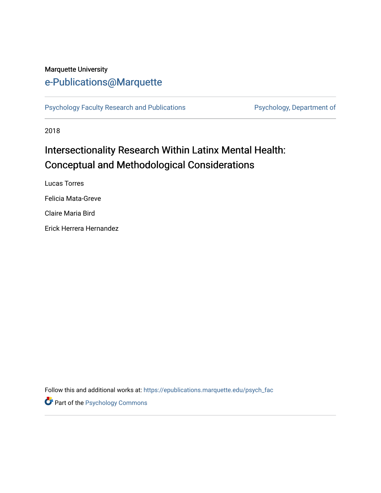## Marquette University

# [e-Publications@Marquette](https://epublications.marquette.edu/)

[Psychology Faculty Research and Publications](https://epublications.marquette.edu/psych_fac) Psychology, Department of

2018

# Intersectionality Research Within Latinx Mental Health: Conceptual and Methodological Considerations

Lucas Torres Felicia Mata-Greve Claire Maria Bird Erick Herrera Hernandez

Follow this and additional works at: [https://epublications.marquette.edu/psych\\_fac](https://epublications.marquette.edu/psych_fac?utm_source=epublications.marquette.edu%2Fpsych_fac%2F434&utm_medium=PDF&utm_campaign=PDFCoverPages)

Part of the [Psychology Commons](http://network.bepress.com/hgg/discipline/404?utm_source=epublications.marquette.edu%2Fpsych_fac%2F434&utm_medium=PDF&utm_campaign=PDFCoverPages)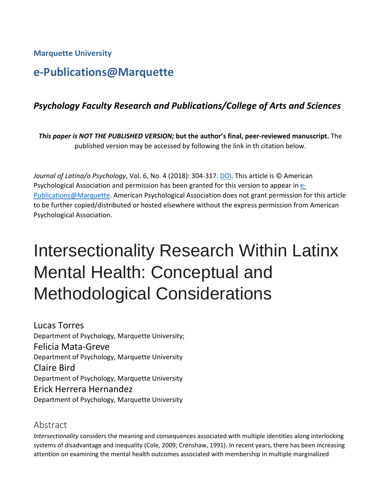**Marquette University**

# **e-Publications@Marquette**

## *Psychology Faculty Research and Publications/College of Arts and Sciences*

*This paper is NOT THE PUBLISHED VERSION;* **but the author's final, peer-reviewed manuscript.** The published version may be accessed by following the link in th citation below.

*Journal of Latina/o Psychology*, Vol. 6, No. 4 (2018): 304-317[. DOI.](http://dx.doi.org/10.1037/lat0000122) This article is © American Psychological Association and permission has been granted for this version to appear i[n e-](http://epublications.marquette.edu/)[Publications@Marquette.](http://epublications.marquette.edu/) American Psychological Association does not grant permission for this article to be further copied/distributed or hosted elsewhere without the express permission from American Psychological Association.

# Intersectionality Research Within Latinx Mental Health: Conceptual and Methodological Considerations

Lucas Torres Department of Psychology, Marquette University; Felicia Mata-Greve Department of Psychology, Marquette University Claire Bird Department of Psychology, Marquette University Erick Herrera Hernandez Department of Psychology, Marquette University

## Abstract

*Intersectionality* considers the meaning and consequences associated with multiple identities along interlocking systems of disadvantage and inequality (Cole, 2009; Crenshaw, 1991). In recent years, there has been increasing attention on examining the mental health outcomes associated with membership in multiple marginalized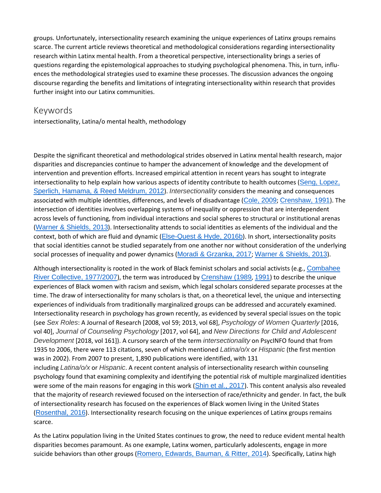groups. Unfortunately, intersectionality research examining the unique experiences of Latinx groups remains scarce. The current article reviews theoretical and methodological considerations regarding intersectionality research within Latinx mental health. From a theoretical perspective, intersectionality brings a series of questions regarding the epistemological approaches to studying psychological phenomena. This, in turn, influences the methodological strategies used to examine these processes. The discussion advances the ongoing discourse regarding the benefits and limitations of integrating intersectionality within research that provides further insight into our Latinx communities.

#### Keywords

scarce.

intersectionality, Latina/o mental health, methodology

Despite the significant theoretical and methodological strides observed in Latinx mental health research, major disparities and discrepancies continue to hamper the advancement of knowledge and the development of intervention and prevention efforts. Increased empirical attention in recent years has sought to integrate intersectionality to help explain how various aspects of identity contribute to health outcomes (Seng, [Lopez,](https://0-web-b-ebscohost-com.libus.csd.mu.edu/ehost/detail/detail?vid=2&sid=78445152-c7df-488a-bccc-964e324df4ab%40pdc-v-sessmgr05&bdata=JnNpdGU9ZWhvc3QtbGl2ZQ%3d%3d#c52) Sperlich, [Hamama,](https://0-web-b-ebscohost-com.libus.csd.mu.edu/ehost/detail/detail?vid=2&sid=78445152-c7df-488a-bccc-964e324df4ab%40pdc-v-sessmgr05&bdata=JnNpdGU9ZWhvc3QtbGl2ZQ%3d%3d#c52) & Reed Meldrum, 2012). *Intersectionality* considers the meaning and consequences associated with multiple identities, differences, and levels of disadvantage ([Cole,](https://0-web-b-ebscohost-com.libus.csd.mu.edu/ehost/detail/detail?vid=2&sid=78445152-c7df-488a-bccc-964e324df4ab%40pdc-v-sessmgr05&bdata=JnNpdGU9ZWhvc3QtbGl2ZQ%3d%3d#c13) 2009; [Crenshaw,](https://0-web-b-ebscohost-com.libus.csd.mu.edu/ehost/detail/detail?vid=2&sid=78445152-c7df-488a-bccc-964e324df4ab%40pdc-v-sessmgr05&bdata=JnNpdGU9ZWhvc3QtbGl2ZQ%3d%3d#c16) 1991). The intersection of identities involves overlapping systems of inequality or oppression that are interdependent across levels of functioning, from individual interactions and social spheres to structural or institutional arenas (Warner & [Shields,](https://0-web-b-ebscohost-com.libus.csd.mu.edu/ehost/detail/detail?vid=2&sid=78445152-c7df-488a-bccc-964e324df4ab%40pdc-v-sessmgr05&bdata=JnNpdGU9ZWhvc3QtbGl2ZQ%3d%3d#c64) 2013). Intersectionality attends to social identities as elements of the individual and the context, both of which are fluid and dynamic ([Else-Quest](https://0-web-b-ebscohost-com.libus.csd.mu.edu/ehost/detail/detail?vid=2&sid=78445152-c7df-488a-bccc-964e324df4ab%40pdc-v-sessmgr05&bdata=JnNpdGU9ZWhvc3QtbGl2ZQ%3d%3d#c22) & Hyde, 2016b). In short, intersectionality posits that social identities cannot be studied separately from one another nor without consideration of the underlying social processes of inequality and power dynamics (Moradi & [Grzanka,](https://0-web-b-ebscohost-com.libus.csd.mu.edu/ehost/detail/detail?vid=2&sid=78445152-c7df-488a-bccc-964e324df4ab%40pdc-v-sessmgr05&bdata=JnNpdGU9ZWhvc3QtbGl2ZQ%3d%3d#c40) 2017; Warner & [Shields,](https://0-web-b-ebscohost-com.libus.csd.mu.edu/ehost/detail/detail?vid=2&sid=78445152-c7df-488a-bccc-964e324df4ab%40pdc-v-sessmgr05&bdata=JnNpdGU9ZWhvc3QtbGl2ZQ%3d%3d#c64) 2013).

Although intersectionality is rooted in the work of Black feminist scholars and social activists (e.g., [Combahee](https://0-web-b-ebscohost-com.libus.csd.mu.edu/ehost/detail/detail?vid=2&sid=78445152-c7df-488a-bccc-964e324df4ab%40pdc-v-sessmgr05&bdata=JnNpdGU9ZWhvc3QtbGl2ZQ%3d%3d#c14) River Collective, [1977/2007](https://0-web-b-ebscohost-com.libus.csd.mu.edu/ehost/detail/detail?vid=2&sid=78445152-c7df-488a-bccc-964e324df4ab%40pdc-v-sessmgr05&bdata=JnNpdGU9ZWhvc3QtbGl2ZQ%3d%3d#c14)), the term was introduced by [Crenshaw](https://0-web-b-ebscohost-com.libus.csd.mu.edu/ehost/detail/detail?vid=2&sid=78445152-c7df-488a-bccc-964e324df4ab%40pdc-v-sessmgr05&bdata=JnNpdGU9ZWhvc3QtbGl2ZQ%3d%3d#c15) (1989, [1991](https://0-web-b-ebscohost-com.libus.csd.mu.edu/ehost/detail/detail?vid=2&sid=78445152-c7df-488a-bccc-964e324df4ab%40pdc-v-sessmgr05&bdata=JnNpdGU9ZWhvc3QtbGl2ZQ%3d%3d#c16)) to describe the unique experiences of Black women with racism and sexism, which legal scholars considered separate processes at the time. The draw of intersectionality for many scholars is that, on a theoretical level, the unique and intersecting experiences of individuals from traditionally marginalized groups can be addressed and accurately examined. Intersectionality research in psychology has grown recently, as evidenced by several special issues on the topic (see *Sex Roles*: A Journal of Research [2008, vol 59; 2013, vol 68], *Psychology of Women Quarterly* [2016, vol 40], *Journal of Counseling Psychology* [2017, vol 64], and *New Directions for Child and Adolescent Development* [2018, vol 161]). A cursory search of the term *intersectionality* on PsycINFO found that from 1935 to 2006, there were 113 citations, seven of which mentioned *Latina/o/x* or *Hispanic* (the first mention was in 2002). From 2007 to present, 1,890 publications were identified, with 131 including *Latina/o/x* or *Hispanic*. A recent content analysis of intersectionality research within counseling psychology found that examining complexity and identifying the potential risk of multiple marginalized identities were some of the main reasons for engaging in this work (Shin et al., [2017](https://0-web-b-ebscohost-com.libus.csd.mu.edu/ehost/detail/detail?vid=2&sid=78445152-c7df-488a-bccc-964e324df4ab%40pdc-v-sessmgr05&bdata=JnNpdGU9ZWhvc3QtbGl2ZQ%3d%3d#c53)). This content analysis also revealed that the majority of research reviewed focused on the intersection of race/ethnicity and gender. In fact, the bulk of intersectionality research has focused on the experiences of Black women living in the United States ([Rosenthal,](https://0-web-b-ebscohost-com.libus.csd.mu.edu/ehost/detail/detail?vid=2&sid=78445152-c7df-488a-bccc-964e324df4ab%40pdc-v-sessmgr05&bdata=JnNpdGU9ZWhvc3QtbGl2ZQ%3d%3d#c49) 2016). Intersectionality research focusing on the unique experiences of Latinx groups remains

As the Latinx population living in the United States continues to grow, the need to reduce evident mental health disparities becomes paramount. As one example, Latinx women, particularly adolescents, engage in more suicide behaviors than other groups (Romero, [Edwards,](https://0-web-b-ebscohost-com.libus.csd.mu.edu/ehost/detail/detail?vid=2&sid=78445152-c7df-488a-bccc-964e324df4ab%40pdc-v-sessmgr05&bdata=JnNpdGU9ZWhvc3QtbGl2ZQ%3d%3d#c48) Bauman, & Ritter, 2014). Specifically, Latinx high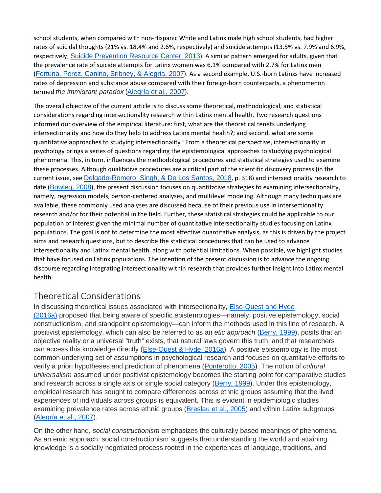school students, when compared with non-Hispanic White and Latinx male high school students, had higher rates of suicidal thoughts (21% vs. 18.4% and 2.6%, respectively) and suicide attempts (13.5% vs. 7.9% and 6.9%, respectively; Suicide [Prevention](https://0-web-b-ebscohost-com.libus.csd.mu.edu/ehost/detail/detail?vid=2&sid=78445152-c7df-488a-bccc-964e324df4ab%40pdc-v-sessmgr05&bdata=JnNpdGU9ZWhvc3QtbGl2ZQ%3d%3d#c56) Resource Center, 2013). A similar pattern emerged for adults, given that the prevalence rate of suicide attempts for Latinx women was 6.1% compared with 2.7% for Latinx men ([Fortuna,](https://0-web-b-ebscohost-com.libus.csd.mu.edu/ehost/detail/detail?vid=2&sid=78445152-c7df-488a-bccc-964e324df4ab%40pdc-v-sessmgr05&bdata=JnNpdGU9ZWhvc3QtbGl2ZQ%3d%3d#c24) Perez, Canino, Sribney, & Alegria, 2007). As a second example, U.S.-born Latinxs have increased rates of depression and substance abuse compared with their foreign-born counterparts, a phenomenon termed *the immigrant paradox* ([Alegría](https://0-web-b-ebscohost-com.libus.csd.mu.edu/ehost/detail/detail?vid=2&sid=78445152-c7df-488a-bccc-964e324df4ab%40pdc-v-sessmgr05&bdata=JnNpdGU9ZWhvc3QtbGl2ZQ%3d%3d#c69) et al., 2007).

The overall objective of the current article is to discuss some theoretical, methodological, and statistical considerations regarding intersectionality research within Latinx mental health. Two research questions informed our overview of the empirical literature: first, what are the theoretical tenets underlying intersectionality and how do they help to address Latinx mental health?; and second, what are some quantitative approaches to studying intersectionality? From a theoretical perspective, intersectionality in psychology brings a series of questions regarding the epistemological approaches to studying psychological phenomena. This, in turn, influences the methodological procedures and statistical strategies used to examine these processes. Although qualitative procedures are a critical part of the scientific discovery process (in the current issue, see [Delgado-Romero,](https://0-web-b-ebscohost-com.libus.csd.mu.edu/ehost/detail/detail?vid=2&sid=78445152-c7df-488a-bccc-964e324df4ab%40pdc-v-sessmgr05&bdata=JnNpdGU9ZWhvc3QtbGl2ZQ%3d%3d#c54) Singh, & De Los Santos, 2018, p. 318) and intersectionality research to date ([Bowleg,](https://0-web-b-ebscohost-com.libus.csd.mu.edu/ehost/detail/detail?vid=2&sid=78445152-c7df-488a-bccc-964e324df4ab%40pdc-v-sessmgr05&bdata=JnNpdGU9ZWhvc3QtbGl2ZQ%3d%3d#c9) 2008), the present discussion focuses on quantitative strategies to examining intersectionality, namely, regression models, person-centered analyses, and multilevel modeling. Although many techniques are available, these commonly used analyses are discussed because of their previous use in intersectionality research and/or for their potential in the field. Further, these statistical strategies could be applicable to our population of interest given the minimal number of quantitative intersectionality studies focusing on Latinx populations. The goal is not to determine the most effective quantitative analysis, as this is driven by the project aims and research questions, but to describe the statistical procedures that can be used to advance intersectionality and Latinx mental health, along with potential limitations. When possible, we highlight studies that have focused on Latinx populations. The intention of the present discussion is to advance the ongoing discourse regarding integrating intersectionality within research that provides further insight into Latinx mental health.

## [Theoretical Considerations](https://0-web-b-ebscohost-com.libus.csd.mu.edu/ehost/detail/detail?vid=2&sid=78445152-c7df-488a-bccc-964e324df4ab%40pdc-v-sessmgr05&bdata=JnNpdGU9ZWhvc3QtbGl2ZQ%3d%3d#toc)

In discussing theoretical issues associated with intersectionality, [Else-Quest](https://0-web-b-ebscohost-com.libus.csd.mu.edu/ehost/detail/detail?vid=2&sid=78445152-c7df-488a-bccc-964e324df4ab%40pdc-v-sessmgr05&bdata=JnNpdGU9ZWhvc3QtbGl2ZQ%3d%3d#c21) and Hyde [\(2016a\)](https://0-web-b-ebscohost-com.libus.csd.mu.edu/ehost/detail/detail?vid=2&sid=78445152-c7df-488a-bccc-964e324df4ab%40pdc-v-sessmgr05&bdata=JnNpdGU9ZWhvc3QtbGl2ZQ%3d%3d#c21) proposed that being aware of specific epistemologies—namely, positive epistemology, social constructionism, and standpoint epistemology—can inform the methods used in this line of research. A positivist epistemology, which can also be referred to as an *etic approach* [\(Berry,](https://0-web-b-ebscohost-com.libus.csd.mu.edu/ehost/detail/detail?vid=2&sid=78445152-c7df-488a-bccc-964e324df4ab%40pdc-v-sessmgr05&bdata=JnNpdGU9ZWhvc3QtbGl2ZQ%3d%3d#c8) 1999), posits that an objective reality or a universal "truth" exists, that natural laws govern this truth, and that researchers can access this knowledge directly [\(Else-Quest](https://0-web-b-ebscohost-com.libus.csd.mu.edu/ehost/detail/detail?vid=2&sid=78445152-c7df-488a-bccc-964e324df4ab%40pdc-v-sessmgr05&bdata=JnNpdGU9ZWhvc3QtbGl2ZQ%3d%3d#c21) & Hyde, 2016a). A positive epistemology is the most common underlying set of assumptions in psychological research and focuses on quantitative efforts to verify a priori hypotheses and prediction of phenomena [\(Ponterotto,](https://0-web-b-ebscohost-com.libus.csd.mu.edu/ehost/detail/detail?vid=2&sid=78445152-c7df-488a-bccc-964e324df4ab%40pdc-v-sessmgr05&bdata=JnNpdGU9ZWhvc3QtbGl2ZQ%3d%3d#c44) 2005). The notion of *cultural universalism* assumed under positivist epistemology becomes the starting point for comparative studies and research across a single axis or single social category [\(Berry,](https://0-web-b-ebscohost-com.libus.csd.mu.edu/ehost/detail/detail?vid=2&sid=78445152-c7df-488a-bccc-964e324df4ab%40pdc-v-sessmgr05&bdata=JnNpdGU9ZWhvc3QtbGl2ZQ%3d%3d#c8) 1999). Under this epistemology, empirical research has sought to compare differences across ethnic groups assuming that the lived experiences of individuals across groups is equivalent. This is evident in epidemiologic studies examining prevalence rates across ethnic groups [\(Breslau](https://0-web-b-ebscohost-com.libus.csd.mu.edu/ehost/detail/detail?vid=2&sid=78445152-c7df-488a-bccc-964e324df4ab%40pdc-v-sessmgr05&bdata=JnNpdGU9ZWhvc3QtbGl2ZQ%3d%3d#c70) et al., 2005) and within Latinx subgroups [\(Alegría](https://0-web-b-ebscohost-com.libus.csd.mu.edu/ehost/detail/detail?vid=2&sid=78445152-c7df-488a-bccc-964e324df4ab%40pdc-v-sessmgr05&bdata=JnNpdGU9ZWhvc3QtbGl2ZQ%3d%3d#c69) et al., 2007).

On the other hand, *social constructionism* emphasizes the culturally based meanings of phenomena. As an emic approach, social constructionism suggests that understanding the world and attaining knowledge is a socially negotiated process rooted in the experiences of language, traditions, and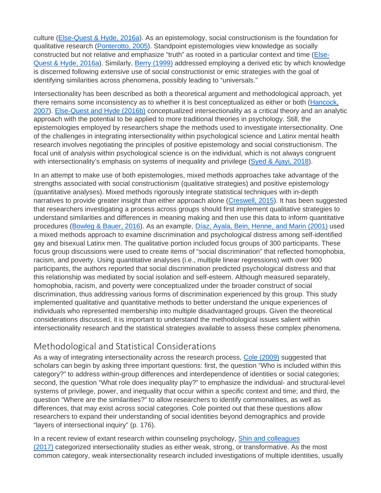culture [\(Else-Quest](https://0-web-b-ebscohost-com.libus.csd.mu.edu/ehost/detail/detail?vid=2&sid=78445152-c7df-488a-bccc-964e324df4ab%40pdc-v-sessmgr05&bdata=JnNpdGU9ZWhvc3QtbGl2ZQ%3d%3d#c21) & Hyde, 2016a). As an epistemology, social constructionism is the foundation for qualitative research [\(Ponterotto,](https://0-web-b-ebscohost-com.libus.csd.mu.edu/ehost/detail/detail?vid=2&sid=78445152-c7df-488a-bccc-964e324df4ab%40pdc-v-sessmgr05&bdata=JnNpdGU9ZWhvc3QtbGl2ZQ%3d%3d#c44) 2005). Standpoint epistemologies view knowledge as socially constructed but not relative and emphasize "truth" as rooted in a particular context and time [\(Else-](https://0-web-b-ebscohost-com.libus.csd.mu.edu/ehost/detail/detail?vid=2&sid=78445152-c7df-488a-bccc-964e324df4ab%40pdc-v-sessmgr05&bdata=JnNpdGU9ZWhvc3QtbGl2ZQ%3d%3d#c21)Quest & Hyde, [2016a\)](https://0-web-b-ebscohost-com.libus.csd.mu.edu/ehost/detail/detail?vid=2&sid=78445152-c7df-488a-bccc-964e324df4ab%40pdc-v-sessmgr05&bdata=JnNpdGU9ZWhvc3QtbGl2ZQ%3d%3d#c21). Similarly, Berry [\(1999\)](https://0-web-b-ebscohost-com.libus.csd.mu.edu/ehost/detail/detail?vid=2&sid=78445152-c7df-488a-bccc-964e324df4ab%40pdc-v-sessmgr05&bdata=JnNpdGU9ZWhvc3QtbGl2ZQ%3d%3d#c8) addressed employing a derived etic by which knowledge is discerned following extensive use of social constructionist or emic strategies with the goal of identifying similarities across phenomena, possibly leading to "universals."

Intersectionality has been described as both a theoretical argument and methodological approach, yet there remains some inconsistency as to whether it is best conceptualized as either or both [\(Hancock,](https://0-web-b-ebscohost-com.libus.csd.mu.edu/ehost/detail/detail?vid=2&sid=78445152-c7df-488a-bccc-964e324df4ab%40pdc-v-sessmgr05&bdata=JnNpdGU9ZWhvc3QtbGl2ZQ%3d%3d#c29) [2007\)](https://0-web-b-ebscohost-com.libus.csd.mu.edu/ehost/detail/detail?vid=2&sid=78445152-c7df-488a-bccc-964e324df4ab%40pdc-v-sessmgr05&bdata=JnNpdGU9ZWhvc3QtbGl2ZQ%3d%3d#c29). [Else-Quest](https://0-web-b-ebscohost-com.libus.csd.mu.edu/ehost/detail/detail?vid=2&sid=78445152-c7df-488a-bccc-964e324df4ab%40pdc-v-sessmgr05&bdata=JnNpdGU9ZWhvc3QtbGl2ZQ%3d%3d#c22) and Hyde (2016b) conceptualized intersectionality as a critical theory and an analytic approach with the potential to be applied to more traditional theories in psychology. Still, the epistemologies employed by researchers shape the methods used to investigate intersectionality. One of the challenges in integrating intersectionality within psychological science and Latinx mental health research involves negotiating the principles of positive epistemology and social constructionism. The focal unit of analysis within psychological science is on the individual, which is not always congruent with intersectionality's emphasis on systems of inequality and privilege [\(Syed](https://0-web-b-ebscohost-com.libus.csd.mu.edu/ehost/detail/detail?vid=2&sid=78445152-c7df-488a-bccc-964e324df4ab%40pdc-v-sessmgr05&bdata=JnNpdGU9ZWhvc3QtbGl2ZQ%3d%3d#c57) & Ajayi, 2018).

In an attempt to make use of both epistemologies, mixed methods approaches take advantage of the strengths associated with social constructionism (qualitative strategies) and positive epistemology (quantitative analyses). Mixed methods rigorously integrate statistical techniques with in-depth narratives to provide greater insight than either approach alone [\(Creswell,](https://0-web-b-ebscohost-com.libus.csd.mu.edu/ehost/detail/detail?vid=2&sid=78445152-c7df-488a-bccc-964e324df4ab%40pdc-v-sessmgr05&bdata=JnNpdGU9ZWhvc3QtbGl2ZQ%3d%3d#c17) 2015). It has been suggested that researchers investigating a process across groups should first implement qualitative strategies to understand similarities and differences in meaning making and then use this data to inform quantitative procedures [\(Bowleg](https://0-web-b-ebscohost-com.libus.csd.mu.edu/ehost/detail/detail?vid=2&sid=78445152-c7df-488a-bccc-964e324df4ab%40pdc-v-sessmgr05&bdata=JnNpdGU9ZWhvc3QtbGl2ZQ%3d%3d#c10) & Bauer, 2016). As an example, Díaz, Ayala, Bein, [Henne,](https://0-web-b-ebscohost-com.libus.csd.mu.edu/ehost/detail/detail?vid=2&sid=78445152-c7df-488a-bccc-964e324df4ab%40pdc-v-sessmgr05&bdata=JnNpdGU9ZWhvc3QtbGl2ZQ%3d%3d#c20) and Marin (2001) used a mixed methods approach to examine discrimination and psychological distress among self-identified gay and bisexual Latinx men. The qualitative portion included focus groups of 300 participants. These focus group discussions were used to create items of "social discrimination" that reflected homophobia, racism, and poverty. Using quantitative analyses (i.e., multiple linear regressions) with over 900 participants, the authors reported that social discrimination predicted psychological distress and that this relationship was mediated by social isolation and self-esteem. Although measured separately, homophobia, racism, and poverty were conceptualized under the broader construct of social discrimination, thus addressing various forms of discrimination experienced by this group. This study implemented qualitative and quantitative methods to better understand the unique experiences of individuals who represented membership into multiple disadvantaged groups. Given the theoretical considerations discussed, it is important to understand the methodological issues salient within intersectionality research and the statistical strategies available to assess these complex phenomena.

## [Methodological and Statistical Considerations](https://0-web-b-ebscohost-com.libus.csd.mu.edu/ehost/detail/detail?vid=2&sid=78445152-c7df-488a-bccc-964e324df4ab%40pdc-v-sessmgr05&bdata=JnNpdGU9ZWhvc3QtbGl2ZQ%3d%3d#toc)

As a way of integrating intersectionality across the research process, Cole [\(2009\)](https://0-web-b-ebscohost-com.libus.csd.mu.edu/ehost/detail/detail?vid=2&sid=78445152-c7df-488a-bccc-964e324df4ab%40pdc-v-sessmgr05&bdata=JnNpdGU9ZWhvc3QtbGl2ZQ%3d%3d#c13) suggested that scholars can begin by asking three important questions: first, the question "Who is included within this category?" to address within-group differences and interdependence of identities or social categories; second, the question "What role does inequality play?" to emphasize the individual- and structural-level systems of privilege, power, and inequality that occur within a specific context and time; and third, the question "Where are the similarities?" to allow researchers to identify commonalities, as well as differences, that may exist across social categories. Cole pointed out that these questions allow researchers to expand their understanding of social identities beyond demographics and provide "layers of intersectional inquiry" (p. 176).

In a recent review of extant research within counseling psychology, Shin and [colleagues](https://0-web-b-ebscohost-com.libus.csd.mu.edu/ehost/detail/detail?vid=2&sid=78445152-c7df-488a-bccc-964e324df4ab%40pdc-v-sessmgr05&bdata=JnNpdGU9ZWhvc3QtbGl2ZQ%3d%3d#c53) [\(2017\)](https://0-web-b-ebscohost-com.libus.csd.mu.edu/ehost/detail/detail?vid=2&sid=78445152-c7df-488a-bccc-964e324df4ab%40pdc-v-sessmgr05&bdata=JnNpdGU9ZWhvc3QtbGl2ZQ%3d%3d#c53) categorized intersectionality studies as either weak, strong, or transformative. As the most common category, weak intersectionality research included investigations of multiple identities, usually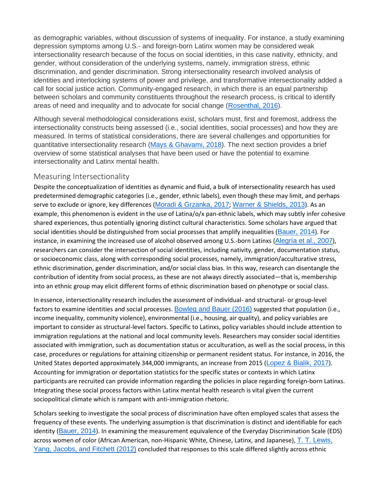as demographic variables, without discussion of systems of inequality. For instance, a study examining depression symptoms among U.S.- and foreign-born Latinx women may be considered weak intersectionality research because of the focus on social identities, in this case nativity, ethnicity, and gender, without consideration of the underlying systems, namely, immigration stress, ethnic discrimination, and gender discrimination. Strong intersectionality research involved analysis of identities and interlocking systems of power and privilege, and transformative intersectionality added a call for social justice action. Community-engaged research, in which there is an equal partnership between scholars and community constituents throughout the research process, is critical to identify areas of need and inequality and to advocate for social change [\(Rosenthal,](https://0-web-b-ebscohost-com.libus.csd.mu.edu/ehost/detail/detail?vid=2&sid=78445152-c7df-488a-bccc-964e324df4ab%40pdc-v-sessmgr05&bdata=JnNpdGU9ZWhvc3QtbGl2ZQ%3d%3d#c49) 2016).

Although several methodological considerations exist, scholars must, first and foremost, address the intersectionality constructs being assessed (i.e., social identities, social processes) and how they are measured. In terms of statistical considerations, there are several challenges and opportunities for quantitative intersectionality research (Mays & [Ghavami,](https://0-web-b-ebscohost-com.libus.csd.mu.edu/ehost/detail/detail?vid=2&sid=78445152-c7df-488a-bccc-964e324df4ab%40pdc-v-sessmgr05&bdata=JnNpdGU9ZWhvc3QtbGl2ZQ%3d%3d#c39) 2018). The next section provides a brief overview of some statistical analyses that have been used or have the potential to examine intersectionality and Latinx mental health.

#### Measuring Intersectionality

Despite the conceptualization of identities as dynamic and fluid, a bulk of intersectionality research has used predetermined demographic categories (i.e., gender, ethnic labels), even though these may limit, and perhaps serve to exclude or ignore, key differences (Moradi & [Grzanka,](https://0-web-b-ebscohost-com.libus.csd.mu.edu/ehost/detail/detail?vid=2&sid=78445152-c7df-488a-bccc-964e324df4ab%40pdc-v-sessmgr05&bdata=JnNpdGU9ZWhvc3QtbGl2ZQ%3d%3d#c40) 2017; Warner & [Shields,](https://0-web-b-ebscohost-com.libus.csd.mu.edu/ehost/detail/detail?vid=2&sid=78445152-c7df-488a-bccc-964e324df4ab%40pdc-v-sessmgr05&bdata=JnNpdGU9ZWhvc3QtbGl2ZQ%3d%3d#c64) 2013). As an example, this phenomenon is evident in the use of Latina/o/x pan-ethnic labels, which may subtly infer cohesive shared experiences, thus potentially ignoring distinct cultural characteristics. Some scholars have argued that social identities should be distinguished from social processes that amplify inequalities ([Bauer,](https://0-web-b-ebscohost-com.libus.csd.mu.edu/ehost/detail/detail?vid=2&sid=78445152-c7df-488a-bccc-964e324df4ab%40pdc-v-sessmgr05&bdata=JnNpdGU9ZWhvc3QtbGl2ZQ%3d%3d#c6) 2014). For instance, in examining the increased use of alcohol observed among U.S.-born Latinxs ([Alegría](https://0-web-b-ebscohost-com.libus.csd.mu.edu/ehost/detail/detail?vid=2&sid=78445152-c7df-488a-bccc-964e324df4ab%40pdc-v-sessmgr05&bdata=JnNpdGU9ZWhvc3QtbGl2ZQ%3d%3d#c69) et al., 2007), researchers can consider the intersection of social identities, including nativity, gender, documentation status, or socioeconomic class, along with corresponding social processes, namely, immigration/acculturative stress, ethnic discrimination, gender discrimination, and/or social class bias. In this way, research can disentangle the contribution of identity from social process, as these are not always directly associated—that is, membership into an ethnic group may elicit different forms of ethnic discrimination based on phenotype or social class.

In essence, intersectionality research includes the assessment of individual- and structural- or group-level factors to examine identities and social processes. [Bowleg](https://0-web-b-ebscohost-com.libus.csd.mu.edu/ehost/detail/detail?vid=2&sid=78445152-c7df-488a-bccc-964e324df4ab%40pdc-v-sessmgr05&bdata=JnNpdGU9ZWhvc3QtbGl2ZQ%3d%3d#c10) and Bauer (2016) suggested that population (i.e., income inequality, community violence), environmental (i.e., housing, air quality), and policy variables are important to consider as structural-level factors. Specific to Latinxs, policy variables should include attention to immigration regulations at the national and local community levels. Researchers may consider social identities associated with immigration, such as documentation status or acculturation, as well as the social process, in this case, procedures or regulations for attaining citizenship or permanent resident status. For instance, in 2016, the United States deported approximately 344,000 immigrants, an increase from 2015 ([Lopez](https://0-web-b-ebscohost-com.libus.csd.mu.edu/ehost/detail/detail?vid=2&sid=78445152-c7df-488a-bccc-964e324df4ab%40pdc-v-sessmgr05&bdata=JnNpdGU9ZWhvc3QtbGl2ZQ%3d%3d#c37) & Bialik, 2017). Accounting for immigration or deportation statistics for the specific states or contexts in which Latinx participants are recruited can provide information regarding the policies in place regarding foreign-born Latinxs. Integrating these social process factors within Latinx mental health research is vital given the current sociopolitical climate which is rampant with anti-immigration rhetoric.

Scholars seeking to investigate the social process of discrimination have often employed scales that assess the frequency of these events. The underlying assumption is that discrimination is distinct and identifiable for each identity ([Bauer,](https://0-web-b-ebscohost-com.libus.csd.mu.edu/ehost/detail/detail?vid=2&sid=78445152-c7df-488a-bccc-964e324df4ab%40pdc-v-sessmgr05&bdata=JnNpdGU9ZWhvc3QtbGl2ZQ%3d%3d#c6) 2014). In examining the measurement equivalence of the Everyday Discrimination Scale (EDS) across women of color (African American, non-Hispanic White, Chinese, Latinx, and Japanese), T. T. [Lewis,](https://0-web-b-ebscohost-com.libus.csd.mu.edu/ehost/detail/detail?vid=2&sid=78445152-c7df-488a-bccc-964e324df4ab%40pdc-v-sessmgr05&bdata=JnNpdGU9ZWhvc3QtbGl2ZQ%3d%3d#c36) Yang, [Jacobs,](https://0-web-b-ebscohost-com.libus.csd.mu.edu/ehost/detail/detail?vid=2&sid=78445152-c7df-488a-bccc-964e324df4ab%40pdc-v-sessmgr05&bdata=JnNpdGU9ZWhvc3QtbGl2ZQ%3d%3d#c36) and Fitchett (2012) concluded that responses to this scale differed slightly across ethnic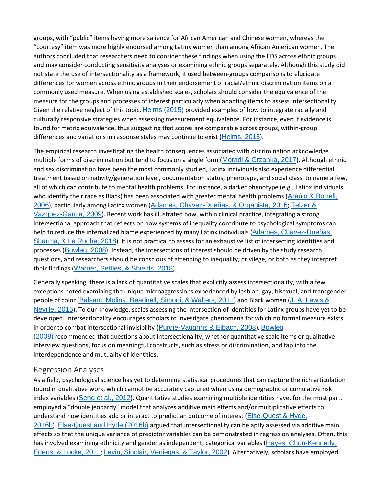groups, with "public" items having more salience for African American and Chinese women, whereas the "courtesy" item was more highly endorsed among Latinx women than among African American women. The authors concluded that researchers need to consider these findings when using the EDS across ethnic groups and may consider conducting sensitivity analyses or examining ethnic groups separately. Although this study did not state the use of intersectionality as a framework, it used between-groups comparisons to elucidate differences for women across ethnic groups in their endorsement of racial/ethnic discrimination items on a commonly used measure. When using established scales, scholars should consider the equivalence of the measure for the groups and processes of interest particularly when adapting items to assess intersectionality. Given the relative neglect of this topic, Helms [\(2015\)](https://0-web-b-ebscohost-com.libus.csd.mu.edu/ehost/detail/detail?vid=2&sid=78445152-c7df-488a-bccc-964e324df4ab%40pdc-v-sessmgr05&bdata=JnNpdGU9ZWhvc3QtbGl2ZQ%3d%3d#c71) provided examples of how to integrate racially and culturally responsive strategies when assessing measurement equivalence. For instance, even if evidence is found for metric equivalence, thus suggesting that scores are comparable across groups, within-group differences and variations in response styles may continue to exist ([Helms,](https://0-web-b-ebscohost-com.libus.csd.mu.edu/ehost/detail/detail?vid=2&sid=78445152-c7df-488a-bccc-964e324df4ab%40pdc-v-sessmgr05&bdata=JnNpdGU9ZWhvc3QtbGl2ZQ%3d%3d#c71) 2015).

The empirical research investigating the health consequences associated with discrimination acknowledge multiple forms of discrimination but tend to focus on a single form (Moradi & [Grzanka,](https://0-web-b-ebscohost-com.libus.csd.mu.edu/ehost/detail/detail?vid=2&sid=78445152-c7df-488a-bccc-964e324df4ab%40pdc-v-sessmgr05&bdata=JnNpdGU9ZWhvc3QtbGl2ZQ%3d%3d#c40) 2017). Although ethnic and sex discrimination have been the most commonly studied, Latinx individuals also experience differential treatment based on nativity/generation level, documentation status, phenotype, and social class, to name a few, all of which can contribute to mental health problems. For instance, a darker phenotype (e.g., Latinx individuals who identify their race as Black) has been associated with greater mental health problems (Araújo & [Borrell,](https://0-web-b-ebscohost-com.libus.csd.mu.edu/ehost/detail/detail?vid=2&sid=78445152-c7df-488a-bccc-964e324df4ab%40pdc-v-sessmgr05&bdata=JnNpdGU9ZWhvc3QtbGl2ZQ%3d%3d#c3) [2006](https://0-web-b-ebscohost-com.libus.csd.mu.edu/ehost/detail/detail?vid=2&sid=78445152-c7df-488a-bccc-964e324df4ab%40pdc-v-sessmgr05&bdata=JnNpdGU9ZWhvc3QtbGl2ZQ%3d%3d#c3)), particularly among Latinx women (Adames, [Chavez-Dueñas,](https://0-web-b-ebscohost-com.libus.csd.mu.edu/ehost/detail/detail?vid=2&sid=78445152-c7df-488a-bccc-964e324df4ab%40pdc-v-sessmgr05&bdata=JnNpdGU9ZWhvc3QtbGl2ZQ%3d%3d#c1) & Organista, 2016; [Telzer](https://0-web-b-ebscohost-com.libus.csd.mu.edu/ehost/detail/detail?vid=2&sid=78445152-c7df-488a-bccc-964e324df4ab%40pdc-v-sessmgr05&bdata=JnNpdGU9ZWhvc3QtbGl2ZQ%3d%3d#c59) & [Vazquez-Garcia,](https://0-web-b-ebscohost-com.libus.csd.mu.edu/ehost/detail/detail?vid=2&sid=78445152-c7df-488a-bccc-964e324df4ab%40pdc-v-sessmgr05&bdata=JnNpdGU9ZWhvc3QtbGl2ZQ%3d%3d#c59) 2009). Recent work has illustrated how, within clinical practice, integrating a strong intersectional approach that reflects on how systems of inequality contribute to psychological symptoms can help to reduce the internalized blame experienced by many Latinx individuals (Adames, [Chavez-Dueñas,](https://0-web-b-ebscohost-com.libus.csd.mu.edu/ehost/detail/detail?vid=2&sid=78445152-c7df-488a-bccc-964e324df4ab%40pdc-v-sessmgr05&bdata=JnNpdGU9ZWhvc3QtbGl2ZQ%3d%3d#c2) [Sharma,](https://0-web-b-ebscohost-com.libus.csd.mu.edu/ehost/detail/detail?vid=2&sid=78445152-c7df-488a-bccc-964e324df4ab%40pdc-v-sessmgr05&bdata=JnNpdGU9ZWhvc3QtbGl2ZQ%3d%3d#c2) & La Roche, 2018). It is not practical to assess for an exhaustive list of intersecting identities and processes ([Bowleg,](https://0-web-b-ebscohost-com.libus.csd.mu.edu/ehost/detail/detail?vid=2&sid=78445152-c7df-488a-bccc-964e324df4ab%40pdc-v-sessmgr05&bdata=JnNpdGU9ZWhvc3QtbGl2ZQ%3d%3d#c9) 2008). Instead, the intersections of interest should be driven by the study research questions, and researchers should be conscious of attending to inequality, privilege, or both as they interpret their findings ([Warner,](https://0-web-b-ebscohost-com.libus.csd.mu.edu/ehost/detail/detail?vid=2&sid=78445152-c7df-488a-bccc-964e324df4ab%40pdc-v-sessmgr05&bdata=JnNpdGU9ZWhvc3QtbGl2ZQ%3d%3d#c63) Settles, & Shields, 2018).

Generally speaking, there is a lack of quantitative scales that explicitly assess intersectionality, with a few exceptions noted examining the unique microaggressions experienced by lesbian, gay, bisexual, and transgender people of color (Balsam, Molina, [Beadnell,](https://0-web-b-ebscohost-com.libus.csd.mu.edu/ehost/detail/detail?vid=2&sid=78445152-c7df-488a-bccc-964e324df4ab%40pdc-v-sessmgr05&bdata=JnNpdGU9ZWhvc3QtbGl2ZQ%3d%3d#c5) Simoni, & Walters, 2011) and Black women (J. A. [Lewis](https://0-web-b-ebscohost-com.libus.csd.mu.edu/ehost/detail/detail?vid=2&sid=78445152-c7df-488a-bccc-964e324df4ab%40pdc-v-sessmgr05&bdata=JnNpdGU9ZWhvc3QtbGl2ZQ%3d%3d#c35) & [Neville,](https://0-web-b-ebscohost-com.libus.csd.mu.edu/ehost/detail/detail?vid=2&sid=78445152-c7df-488a-bccc-964e324df4ab%40pdc-v-sessmgr05&bdata=JnNpdGU9ZWhvc3QtbGl2ZQ%3d%3d#c35) 2015). To our knowledge, scales assessing the intersection of identities for Latinx groups have yet to be developed. Intersectionality encourages scholars to investigate phenomena for which no formal measure exists in order to combat intersectional invisibility ([Purdie-Vaughns](https://0-web-b-ebscohost-com.libus.csd.mu.edu/ehost/detail/detail?vid=2&sid=78445152-c7df-488a-bccc-964e324df4ab%40pdc-v-sessmgr05&bdata=JnNpdGU9ZWhvc3QtbGl2ZQ%3d%3d#c46) & Eibach, 2008). [Bowleg](https://0-web-b-ebscohost-com.libus.csd.mu.edu/ehost/detail/detail?vid=2&sid=78445152-c7df-488a-bccc-964e324df4ab%40pdc-v-sessmgr05&bdata=JnNpdGU9ZWhvc3QtbGl2ZQ%3d%3d#c9) [\(2008\)](https://0-web-b-ebscohost-com.libus.csd.mu.edu/ehost/detail/detail?vid=2&sid=78445152-c7df-488a-bccc-964e324df4ab%40pdc-v-sessmgr05&bdata=JnNpdGU9ZWhvc3QtbGl2ZQ%3d%3d#c9) recommended that questions about intersectionality, whether quantitative scale items or qualitative interview questions, focus on meaningful constructs, such as stress or discrimination, and tap into the interdependence and mutuality of identities.

#### Regression Analyses

As a field, psychological science has yet to determine statistical procedures that can capture the rich articulation found in qualitative work, which cannot be accurately captured when using demographic or cumulative risk index variables ([Seng](https://0-web-b-ebscohost-com.libus.csd.mu.edu/ehost/detail/detail?vid=2&sid=78445152-c7df-488a-bccc-964e324df4ab%40pdc-v-sessmgr05&bdata=JnNpdGU9ZWhvc3QtbGl2ZQ%3d%3d#c52) et al., 2012). Quantitative studies examining multiple identities have, for the most part, employed a "double jeopardy" model that analyzes additive main effects and/or multiplicative effects to understand how identities add or interact to predict an outcome of interest ([Else-Quest](https://0-web-b-ebscohost-com.libus.csd.mu.edu/ehost/detail/detail?vid=2&sid=78445152-c7df-488a-bccc-964e324df4ab%40pdc-v-sessmgr05&bdata=JnNpdGU9ZWhvc3QtbGl2ZQ%3d%3d#c22) & Hyde, [2016b](https://0-web-b-ebscohost-com.libus.csd.mu.edu/ehost/detail/detail?vid=2&sid=78445152-c7df-488a-bccc-964e324df4ab%40pdc-v-sessmgr05&bdata=JnNpdGU9ZWhvc3QtbGl2ZQ%3d%3d#c22)). [Else-Quest](https://0-web-b-ebscohost-com.libus.csd.mu.edu/ehost/detail/detail?vid=2&sid=78445152-c7df-488a-bccc-964e324df4ab%40pdc-v-sessmgr05&bdata=JnNpdGU9ZWhvc3QtbGl2ZQ%3d%3d#c22) and Hyde (2016b) argued that intersectionality can be aptly assessed via additive main effects so that the unique variance of predictor variables can be demonstrated in regression analyses. Often, this has involved examining ethnicity and gender as independent, categorical variables (Hayes, [Chun-Kennedy,](https://0-web-b-ebscohost-com.libus.csd.mu.edu/ehost/detail/detail?vid=2&sid=78445152-c7df-488a-bccc-964e324df4ab%40pdc-v-sessmgr05&bdata=JnNpdGU9ZWhvc3QtbGl2ZQ%3d%3d#c30) [Edens,](https://0-web-b-ebscohost-com.libus.csd.mu.edu/ehost/detail/detail?vid=2&sid=78445152-c7df-488a-bccc-964e324df4ab%40pdc-v-sessmgr05&bdata=JnNpdGU9ZWhvc3QtbGl2ZQ%3d%3d#c30) & Locke, 2011; Levin, Sinclair, [Veniegas,](https://0-web-b-ebscohost-com.libus.csd.mu.edu/ehost/detail/detail?vid=2&sid=78445152-c7df-488a-bccc-964e324df4ab%40pdc-v-sessmgr05&bdata=JnNpdGU9ZWhvc3QtbGl2ZQ%3d%3d#c33) & Taylor, 2002). Alternatively, scholars have employed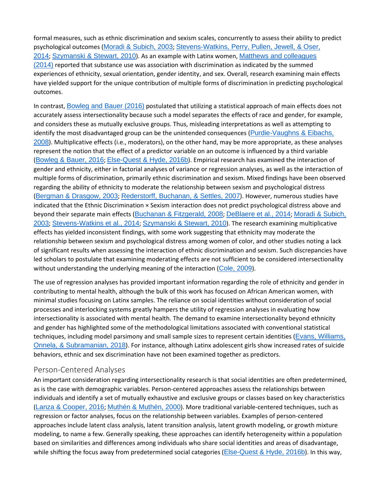formal measures, such as ethnic discrimination and sexism scales, concurrently to assess their ability to predict psychological outcomes (Moradi & [Subich,](https://0-web-b-ebscohost-com.libus.csd.mu.edu/ehost/detail/detail?vid=2&sid=78445152-c7df-488a-bccc-964e324df4ab%40pdc-v-sessmgr05&bdata=JnNpdGU9ZWhvc3QtbGl2ZQ%3d%3d#c41) 2003; [Stevens-Watkins,](https://0-web-b-ebscohost-com.libus.csd.mu.edu/ehost/detail/detail?vid=2&sid=78445152-c7df-488a-bccc-964e324df4ab%40pdc-v-sessmgr05&bdata=JnNpdGU9ZWhvc3QtbGl2ZQ%3d%3d#c55) Perry, Pullen, Jewell, & Oser, [2014](https://0-web-b-ebscohost-com.libus.csd.mu.edu/ehost/detail/detail?vid=2&sid=78445152-c7df-488a-bccc-964e324df4ab%40pdc-v-sessmgr05&bdata=JnNpdGU9ZWhvc3QtbGl2ZQ%3d%3d#c55); [Szymanski](https://0-web-b-ebscohost-com.libus.csd.mu.edu/ehost/detail/detail?vid=2&sid=78445152-c7df-488a-bccc-964e324df4ab%40pdc-v-sessmgr05&bdata=JnNpdGU9ZWhvc3QtbGl2ZQ%3d%3d#c58) & Stewart, 2010). As an example with Latinx women, Matthews and [colleagues](https://0-web-b-ebscohost-com.libus.csd.mu.edu/ehost/detail/detail?vid=2&sid=78445152-c7df-488a-bccc-964e324df4ab%40pdc-v-sessmgr05&bdata=JnNpdGU9ZWhvc3QtbGl2ZQ%3d%3d#c38)  $(2014)$  reported that substance use was association with discrimination as indicated by the summed experiences of ethnicity, sexual orientation, gender identity, and sex. Overall, research examining main effects have yielded support for the unique contribution of multiple forms of discrimination in predicting psychological outcomes.

In contrast, [Bowleg](https://0-web-b-ebscohost-com.libus.csd.mu.edu/ehost/detail/detail?vid=2&sid=78445152-c7df-488a-bccc-964e324df4ab%40pdc-v-sessmgr05&bdata=JnNpdGU9ZWhvc3QtbGl2ZQ%3d%3d#c10) and Bauer (2016) postulated that utilizing a statistical approach of main effects does not accurately assess intersectionality because such a model separates the effects of race and gender, for example, and considers these as mutually exclusive groups. Thus, misleading interpretations as well as attempting to identify the most disadvantaged group can be the unintended consequences ([Purdie-Vaughns](https://0-web-b-ebscohost-com.libus.csd.mu.edu/ehost/detail/detail?vid=2&sid=78445152-c7df-488a-bccc-964e324df4ab%40pdc-v-sessmgr05&bdata=JnNpdGU9ZWhvc3QtbGl2ZQ%3d%3d#c46) & Eibachs, [2008](https://0-web-b-ebscohost-com.libus.csd.mu.edu/ehost/detail/detail?vid=2&sid=78445152-c7df-488a-bccc-964e324df4ab%40pdc-v-sessmgr05&bdata=JnNpdGU9ZWhvc3QtbGl2ZQ%3d%3d#c46)). Multiplicative effects (i.e., moderators), on the other hand, may be more appropriate, as these analyses represent the notion that the effect of a predictor variable on an outcome is influenced by a third variable ([Bowleg](https://0-web-b-ebscohost-com.libus.csd.mu.edu/ehost/detail/detail?vid=2&sid=78445152-c7df-488a-bccc-964e324df4ab%40pdc-v-sessmgr05&bdata=JnNpdGU9ZWhvc3QtbGl2ZQ%3d%3d#c10) & Bauer, 2016; [Else-Quest](https://0-web-b-ebscohost-com.libus.csd.mu.edu/ehost/detail/detail?vid=2&sid=78445152-c7df-488a-bccc-964e324df4ab%40pdc-v-sessmgr05&bdata=JnNpdGU9ZWhvc3QtbGl2ZQ%3d%3d#c22) & Hyde, 2016b). Empirical research has examined the interaction of gender and ethnicity, either in factorial analyses of variance or regression analyses, as well as the interaction of multiple forms of discrimination, primarily ethnic discrimination and sexism. Mixed findings have been observed regarding the ability of ethnicity to moderate the relationship between sexism and psychological distress (Bergman & [Drasgow,](https://0-web-b-ebscohost-com.libus.csd.mu.edu/ehost/detail/detail?vid=2&sid=78445152-c7df-488a-bccc-964e324df4ab%40pdc-v-sessmgr05&bdata=JnNpdGU9ZWhvc3QtbGl2ZQ%3d%3d#c7) 2003; [Rederstorff,](https://0-web-b-ebscohost-com.libus.csd.mu.edu/ehost/detail/detail?vid=2&sid=78445152-c7df-488a-bccc-964e324df4ab%40pdc-v-sessmgr05&bdata=JnNpdGU9ZWhvc3QtbGl2ZQ%3d%3d#c47) Buchanan, & Settles, 2007). However, numerous studies have indicated that the Ethnic Discrimination × Sexism interaction does not predict psychological distress above and beyond their separate main effects (Buchanan & [Fitzgerald,](https://0-web-b-ebscohost-com.libus.csd.mu.edu/ehost/detail/detail?vid=2&sid=78445152-c7df-488a-bccc-964e324df4ab%40pdc-v-sessmgr05&bdata=JnNpdGU9ZWhvc3QtbGl2ZQ%3d%3d#c11) 2008; [DeBlaere](https://0-web-b-ebscohost-com.libus.csd.mu.edu/ehost/detail/detail?vid=2&sid=78445152-c7df-488a-bccc-964e324df4ab%40pdc-v-sessmgr05&bdata=JnNpdGU9ZWhvc3QtbGl2ZQ%3d%3d#c18) et al., 2014; Moradi & [Subich,](https://0-web-b-ebscohost-com.libus.csd.mu.edu/ehost/detail/detail?vid=2&sid=78445152-c7df-488a-bccc-964e324df4ab%40pdc-v-sessmgr05&bdata=JnNpdGU9ZWhvc3QtbGl2ZQ%3d%3d#c41) [2003](https://0-web-b-ebscohost-com.libus.csd.mu.edu/ehost/detail/detail?vid=2&sid=78445152-c7df-488a-bccc-964e324df4ab%40pdc-v-sessmgr05&bdata=JnNpdGU9ZWhvc3QtbGl2ZQ%3d%3d#c41); [Stevens-Watkins](https://0-web-b-ebscohost-com.libus.csd.mu.edu/ehost/detail/detail?vid=2&sid=78445152-c7df-488a-bccc-964e324df4ab%40pdc-v-sessmgr05&bdata=JnNpdGU9ZWhvc3QtbGl2ZQ%3d%3d#c55) et al., 2014; [Szymanski](https://0-web-b-ebscohost-com.libus.csd.mu.edu/ehost/detail/detail?vid=2&sid=78445152-c7df-488a-bccc-964e324df4ab%40pdc-v-sessmgr05&bdata=JnNpdGU9ZWhvc3QtbGl2ZQ%3d%3d#c58) & Stewart, 2010). The research examining multiplicative effects has yielded inconsistent findings, with some work suggesting that ethnicity may moderate the relationship between sexism and psychological distress among women of color, and other studies noting a lack of significant results when assessing the interaction of ethnic discrimination and sexism. Such discrepancies have led scholars to postulate that examining moderating effects are not sufficient to be considered intersectionality without understanding the underlying meaning of the interaction  $(Cole, 2009)$  $(Cole, 2009)$  $(Cole, 2009)$ .

The use of regression analyses has provided important information regarding the role of ethnicity and gender in contributing to mental health, although the bulk of this work has focused on African American women, with minimal studies focusing on Latinx samples. The reliance on social identities without consideration of social processes and interlocking systems greatly hampers the utility of regression analyses in evaluating how intersectionality is associated with mental health. The demand to examine intersectionality beyond ethnicity and gender has highlighted some of the methodological limitations associated with conventional statistical techniques, including model parsimony and small sample sizes to represent certain identities (Evans, [Williams,](https://0-web-b-ebscohost-com.libus.csd.mu.edu/ehost/detail/detail?vid=2&sid=78445152-c7df-488a-bccc-964e324df4ab%40pdc-v-sessmgr05&bdata=JnNpdGU9ZWhvc3QtbGl2ZQ%3d%3d#c23) Onnela, & [Subramanian,](https://0-web-b-ebscohost-com.libus.csd.mu.edu/ehost/detail/detail?vid=2&sid=78445152-c7df-488a-bccc-964e324df4ab%40pdc-v-sessmgr05&bdata=JnNpdGU9ZWhvc3QtbGl2ZQ%3d%3d#c23) 2018). For instance, although Latinx adolescent girls show increased rates of suicide behaviors, ethnic and sex discrimination have not been examined together as predictors.

#### Person-Centered Analyses

An important consideration regarding intersectionality research is that social identities are often predetermined, as is the case with demographic variables. Person-centered approaches assess the relationships between individuals and identify a set of mutually exhaustive and exclusive groups or classes based on key characteristics (Lanza & [Cooper,](https://0-web-b-ebscohost-com.libus.csd.mu.edu/ehost/detail/detail?vid=2&sid=78445152-c7df-488a-bccc-964e324df4ab%40pdc-v-sessmgr05&bdata=JnNpdGU9ZWhvc3QtbGl2ZQ%3d%3d#c32) 2016; Muthén & [Muthén,](https://0-web-b-ebscohost-com.libus.csd.mu.edu/ehost/detail/detail?vid=2&sid=78445152-c7df-488a-bccc-964e324df4ab%40pdc-v-sessmgr05&bdata=JnNpdGU9ZWhvc3QtbGl2ZQ%3d%3d#c42) 2000). More traditional variable-centered techniques, such as regression or factor analyses, focus on the relationship between variables. Examples of person-centered approaches include latent class analysis, latent transition analysis, latent growth modeling, or growth mixture modeling, to name a few. Generally speaking, these approaches can identify heterogeneity within a population based on similarities and differences among individuals who share social identities and areas of disadvantage, while shifting the focus away from predetermined social categories ([Else-Quest](https://0-web-b-ebscohost-com.libus.csd.mu.edu/ehost/detail/detail?vid=2&sid=78445152-c7df-488a-bccc-964e324df4ab%40pdc-v-sessmgr05&bdata=JnNpdGU9ZWhvc3QtbGl2ZQ%3d%3d#c22) & Hyde, 2016b). In this way,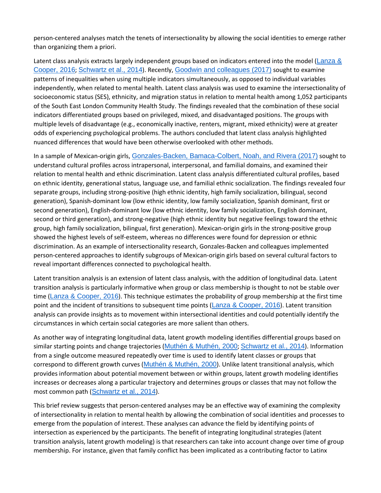person-centered analyses match the tenets of intersectionality by allowing the social identities to emerge rather than organizing them a priori.

Latent class analysis extracts largely independent groups based on indicators entered into the model ([Lanza](https://0-web-b-ebscohost-com.libus.csd.mu.edu/ehost/detail/detail?vid=2&sid=78445152-c7df-488a-bccc-964e324df4ab%40pdc-v-sessmgr05&bdata=JnNpdGU9ZWhvc3QtbGl2ZQ%3d%3d#c32) & [Cooper,](https://0-web-b-ebscohost-com.libus.csd.mu.edu/ehost/detail/detail?vid=2&sid=78445152-c7df-488a-bccc-964e324df4ab%40pdc-v-sessmgr05&bdata=JnNpdGU9ZWhvc3QtbGl2ZQ%3d%3d#c32) 2016; [Schwartz](https://0-web-b-ebscohost-com.libus.csd.mu.edu/ehost/detail/detail?vid=2&sid=78445152-c7df-488a-bccc-964e324df4ab%40pdc-v-sessmgr05&bdata=JnNpdGU9ZWhvc3QtbGl2ZQ%3d%3d#c51) et al., 2014). Recently, Goodwin and [colleagues](https://0-web-b-ebscohost-com.libus.csd.mu.edu/ehost/detail/detail?vid=2&sid=78445152-c7df-488a-bccc-964e324df4ab%40pdc-v-sessmgr05&bdata=JnNpdGU9ZWhvc3QtbGl2ZQ%3d%3d#c27) (2017) sought to examine patterns of inequalities when using multiple indicators simultaneously, as opposed to individual variables independently, when related to mental health. Latent class analysis was used to examine the intersectionality of socioeconomic status (SES), ethnicity, and migration status in relation to mental health among 1,052 participants of the South East London Community Health Study. The findings revealed that the combination of these social indicators differentiated groups based on privileged, mixed, and disadvantaged positions. The groups with multiple levels of disadvantage (e.g., economically inactive, renters, migrant, mixed ethnicity) were at greater odds of experiencing psychological problems. The authors concluded that latent class analysis highlighted nuanced differences that would have been otherwise overlooked with other methods.

In a sample of Mexican-origin girls, [Gonzales-Backen,](https://0-web-b-ebscohost-com.libus.csd.mu.edu/ehost/detail/detail?vid=2&sid=78445152-c7df-488a-bccc-964e324df4ab%40pdc-v-sessmgr05&bdata=JnNpdGU9ZWhvc3QtbGl2ZQ%3d%3d#c26) Bamaca-Colbert, Noah, and Rivera (2017) sought to understand cultural profiles across intrapersonal, interpersonal, and familial domains, and examined their relation to mental health and ethnic discrimination. Latent class analysis differentiated cultural profiles, based on ethnic identity, generational status, language use, and familial ethnic socialization. The findings revealed four separate groups, including strong-positive (high ethnic identity, high family socialization, bilingual, second generation), Spanish-dominant low (low ethnic identity, low family socialization, Spanish dominant, first or second generation), English-dominant low (low ethnic identity, low family socialization, English dominant, second or third generation), and strong-negative (high ethnic identity but negative feelings toward the ethnic group, high family socialization, bilingual, first generation). Mexican-origin girls in the strong-positive group showed the highest levels of self-esteem, whereas no differences were found for depression or ethnic discrimination. As an example of intersectionality research, Gonzales-Backen and colleagues implemented person-centered approaches to identify subgroups of Mexican-origin girls based on several cultural factors to reveal important differences connected to psychological health.

Latent transition analysis is an extension of latent class analysis, with the addition of longitudinal data. Latent transition analysis is particularly informative when group or class membership is thought to not be stable over time (Lanza & [Cooper,](https://0-web-b-ebscohost-com.libus.csd.mu.edu/ehost/detail/detail?vid=2&sid=78445152-c7df-488a-bccc-964e324df4ab%40pdc-v-sessmgr05&bdata=JnNpdGU9ZWhvc3QtbGl2ZQ%3d%3d#c32) 2016). This technique estimates the probability of group membership at the first time point and the incident of transitions to subsequent time points (Lanza & [Cooper,](https://0-web-b-ebscohost-com.libus.csd.mu.edu/ehost/detail/detail?vid=2&sid=78445152-c7df-488a-bccc-964e324df4ab%40pdc-v-sessmgr05&bdata=JnNpdGU9ZWhvc3QtbGl2ZQ%3d%3d#c32) 2016). Latent transition analysis can provide insights as to movement within intersectional identities and could potentially identify the circumstances in which certain social categories are more salient than others.

As another way of integrating longitudinal data, latent growth modeling identifies differential groups based on similar starting points and change trajectories (Muthén & [Muthén,](https://0-web-b-ebscohost-com.libus.csd.mu.edu/ehost/detail/detail?vid=2&sid=78445152-c7df-488a-bccc-964e324df4ab%40pdc-v-sessmgr05&bdata=JnNpdGU9ZWhvc3QtbGl2ZQ%3d%3d#c42) 2000; [Schwartz](https://0-web-b-ebscohost-com.libus.csd.mu.edu/ehost/detail/detail?vid=2&sid=78445152-c7df-488a-bccc-964e324df4ab%40pdc-v-sessmgr05&bdata=JnNpdGU9ZWhvc3QtbGl2ZQ%3d%3d#c51) et al., 2014). Information from a single outcome measured repeatedly over time is used to identify latent classes or groups that correspond to different growth curves (Muthén & [Muthén,](https://0-web-b-ebscohost-com.libus.csd.mu.edu/ehost/detail/detail?vid=2&sid=78445152-c7df-488a-bccc-964e324df4ab%40pdc-v-sessmgr05&bdata=JnNpdGU9ZWhvc3QtbGl2ZQ%3d%3d#c42) 2000). Unlike latent transitional analysis, which provides information about potential movement between or within groups, latent growth modeling identifies increases or decreases along a particular trajectory and determines groups or classes that may not follow the most common path ([Schwartz](https://0-web-b-ebscohost-com.libus.csd.mu.edu/ehost/detail/detail?vid=2&sid=78445152-c7df-488a-bccc-964e324df4ab%40pdc-v-sessmgr05&bdata=JnNpdGU9ZWhvc3QtbGl2ZQ%3d%3d#c51) et al., 2014).

This brief review suggests that person-centered analyses may be an effective way of examining the complexity of intersectionality in relation to mental health by allowing the combination of social identities and processes to emerge from the population of interest. These analyses can advance the field by identifying points of intersection as experienced by the participants. The benefit of integrating longitudinal strategies (latent transition analysis, latent growth modeling) is that researchers can take into account change over time of group membership. For instance, given that family conflict has been implicated as a contributing factor to Latinx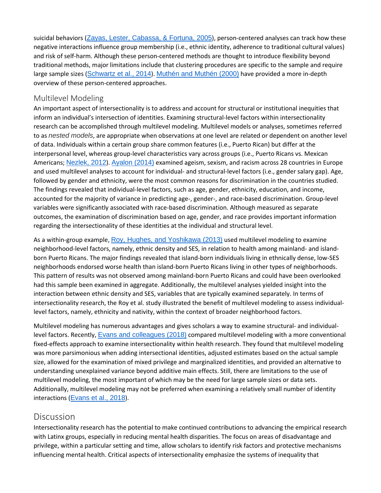suicidal behaviors (Zayas, Lester, [Cabassa,](https://0-web-b-ebscohost-com.libus.csd.mu.edu/ehost/detail/detail?vid=2&sid=78445152-c7df-488a-bccc-964e324df4ab%40pdc-v-sessmgr05&bdata=JnNpdGU9ZWhvc3QtbGl2ZQ%3d%3d#c72) & Fortuna, 2005), person-centered analyses can track how these negative interactions influence group membership (i.e., ethnic identity, adherence to traditional cultural values) and risk of self-harm. Although these person-centered methods are thought to introduce flexibility beyond traditional methods, major limitations include that clustering procedures are specific to the sample and require large sample sizes ([Schwartz](https://0-web-b-ebscohost-com.libus.csd.mu.edu/ehost/detail/detail?vid=2&sid=78445152-c7df-488a-bccc-964e324df4ab%40pdc-v-sessmgr05&bdata=JnNpdGU9ZWhvc3QtbGl2ZQ%3d%3d#c51) et al., 2014). [Muthén](https://0-web-b-ebscohost-com.libus.csd.mu.edu/ehost/detail/detail?vid=2&sid=78445152-c7df-488a-bccc-964e324df4ab%40pdc-v-sessmgr05&bdata=JnNpdGU9ZWhvc3QtbGl2ZQ%3d%3d#c42) and Muthén (2000) have provided a more in-depth overview of these person-centered approaches.

#### Multilevel Modeling

An important aspect of intersectionality is to address and account for structural or institutional inequities that inform an individual's intersection of identities. Examining structural-level factors within intersectionality research can be accomplished through multilevel modeling. Multilevel models or analyses, sometimes referred to as *nested models*, are appropriate when observations at one level are related or dependent on another level of data. Individuals within a certain group share common features (i.e., Puerto Rican) but differ at the interpersonal level, whereas group-level characteristics vary across groups (i.e., Puerto Ricans vs. Mexican Americans; [Nezlek,](https://0-web-b-ebscohost-com.libus.csd.mu.edu/ehost/detail/detail?vid=2&sid=78445152-c7df-488a-bccc-964e324df4ab%40pdc-v-sessmgr05&bdata=JnNpdGU9ZWhvc3QtbGl2ZQ%3d%3d#c43) 2012). [Ayalon](https://0-web-b-ebscohost-com.libus.csd.mu.edu/ehost/detail/detail?vid=2&sid=78445152-c7df-488a-bccc-964e324df4ab%40pdc-v-sessmgr05&bdata=JnNpdGU9ZWhvc3QtbGl2ZQ%3d%3d#c4) (2014) examined ageism, sexism, and racism across 28 countries in Europe and used multilevel analyses to account for individual- and structural-level factors (i.e., gender salary gap). Age, followed by gender and ethnicity, were the most common reasons for discrimination in the countries studied. The findings revealed that individual-level factors, such as age, gender, ethnicity, education, and income, accounted for the majority of variance in predicting age-, gender-, and race-based discrimination. Group-level variables were significantly associated with race-based discrimination. Although measured as separate outcomes, the examination of discrimination based on age, gender, and race provides important information regarding the intersectionality of these identities at the individual and structural level.

As a within-group example, Roy, Hughes, and [Yoshikawa](https://0-web-b-ebscohost-com.libus.csd.mu.edu/ehost/detail/detail?vid=2&sid=78445152-c7df-488a-bccc-964e324df4ab%40pdc-v-sessmgr05&bdata=JnNpdGU9ZWhvc3QtbGl2ZQ%3d%3d#c50) (2013) used multilevel modeling to examine neighborhood-level factors, namely, ethnic density and SES, in relation to health among mainland- and islandborn Puerto Ricans. The major findings revealed that island-born individuals living in ethnically dense, low-SES neighborhoods endorsed worse health than island-born Puerto Ricans living in other types of neighborhoods. This pattern of results was not observed among mainland-born Puerto Ricans and could have been overlooked had this sample been examined in aggregate. Additionally, the multilevel analyses yielded insight into the interaction between ethnic density and SES, variables that are typically examined separately. In terms of intersectionality research, the Roy et al. study illustrated the benefit of multilevel modeling to assess individuallevel factors, namely, ethnicity and nativity, within the context of broader neighborhood factors.

Multilevel modeling has numerous advantages and gives scholars a way to examine structural- and individuallevel factors. Recently, Evans and [colleagues](https://0-web-b-ebscohost-com.libus.csd.mu.edu/ehost/detail/detail?vid=2&sid=78445152-c7df-488a-bccc-964e324df4ab%40pdc-v-sessmgr05&bdata=JnNpdGU9ZWhvc3QtbGl2ZQ%3d%3d#c23) (2018) compared multilevel modeling with a more conventional fixed-effects approach to examine intersectionality within health research. They found that multilevel modeling was more parsimonious when adding intersectional identities, adjusted estimates based on the actual sample size, allowed for the examination of mixed privilege and marginalized identities, and provided an alternative to understanding unexplained variance beyond additive main effects. Still, there are limitations to the use of multilevel modeling, the most important of which may be the need for large sample sizes or data sets. Additionally, multilevel modeling may not be preferred when examining a relatively small number of identity interactions ([Evans](https://0-web-b-ebscohost-com.libus.csd.mu.edu/ehost/detail/detail?vid=2&sid=78445152-c7df-488a-bccc-964e324df4ab%40pdc-v-sessmgr05&bdata=JnNpdGU9ZWhvc3QtbGl2ZQ%3d%3d#c23) et al., 2018).

## **[Discussion](https://0-web-b-ebscohost-com.libus.csd.mu.edu/ehost/detail/detail?vid=2&sid=78445152-c7df-488a-bccc-964e324df4ab%40pdc-v-sessmgr05&bdata=JnNpdGU9ZWhvc3QtbGl2ZQ%3d%3d#toc)**

Intersectionality research has the potential to make continued contributions to advancing the empirical research with Latinx groups, especially in reducing mental health disparities. The focus on areas of disadvantage and privilege, within a particular setting and time, allow scholars to identify risk factors and protective mechanisms influencing mental health. Critical aspects of intersectionality emphasize the systems of inequality that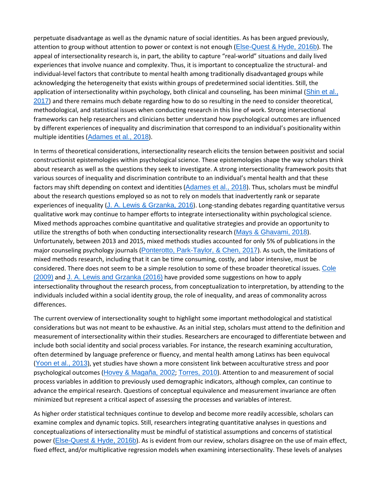perpetuate disadvantage as well as the dynamic nature of social identities. As has been argued previously, attention to group without attention to power or context is not enough ([Else-Quest](https://0-web-b-ebscohost-com.libus.csd.mu.edu/ehost/detail/detail?vid=2&sid=78445152-c7df-488a-bccc-964e324df4ab%40pdc-v-sessmgr05&bdata=JnNpdGU9ZWhvc3QtbGl2ZQ%3d%3d#c22) & Hyde, 2016b). The appeal of intersectionality research is, in part, the ability to capture "real-world" situations and daily lived experiences that involve nuance and complexity. Thus, it is important to conceptualize the structural- and individual-level factors that contribute to mental health among traditionally disadvantaged groups while acknowledging the heterogeneity that exists within groups of predetermined social identities. Still, the application of intersectionality within psychology, both clinical and counseling, has been minimal ([Shin](https://0-web-b-ebscohost-com.libus.csd.mu.edu/ehost/detail/detail?vid=2&sid=78445152-c7df-488a-bccc-964e324df4ab%40pdc-v-sessmgr05&bdata=JnNpdGU9ZWhvc3QtbGl2ZQ%3d%3d#c53) et al., [2017](https://0-web-b-ebscohost-com.libus.csd.mu.edu/ehost/detail/detail?vid=2&sid=78445152-c7df-488a-bccc-964e324df4ab%40pdc-v-sessmgr05&bdata=JnNpdGU9ZWhvc3QtbGl2ZQ%3d%3d#c53)) and there remains much debate regarding how to do so resulting in the need to consider theoretical, methodological, and statistical issues when conducting research in this line of work. Strong intersectional frameworks can help researchers and clinicians better understand how psychological outcomes are influenced by different experiences of inequality and discrimination that correspond to an individual's positionality within multiple identities ([Adames](https://0-web-b-ebscohost-com.libus.csd.mu.edu/ehost/detail/detail?vid=2&sid=78445152-c7df-488a-bccc-964e324df4ab%40pdc-v-sessmgr05&bdata=JnNpdGU9ZWhvc3QtbGl2ZQ%3d%3d#c2) et al., 2018).

In terms of theoretical considerations, intersectionality research elicits the tension between positivist and social constructionist epistemologies within psychological science. These epistemologies shape the way scholars think about research as well as the questions they seek to investigate. A strong intersectionality framework posits that various sources of inequality and discrimination contribute to an individual's mental health and that these factors may shift depending on context and identities ([Adames](https://0-web-b-ebscohost-com.libus.csd.mu.edu/ehost/detail/detail?vid=2&sid=78445152-c7df-488a-bccc-964e324df4ab%40pdc-v-sessmgr05&bdata=JnNpdGU9ZWhvc3QtbGl2ZQ%3d%3d#c2) et al., 2018). Thus, scholars must be mindful about the research questions employed so as not to rely on models that inadvertently rank or separate experiences of inequality (J. A. Lewis & [Grzanka,](https://0-web-b-ebscohost-com.libus.csd.mu.edu/ehost/detail/detail?vid=2&sid=78445152-c7df-488a-bccc-964e324df4ab%40pdc-v-sessmgr05&bdata=JnNpdGU9ZWhvc3QtbGl2ZQ%3d%3d#c34) 2016). Long-standing debates regarding quantitative versus qualitative work may continue to hamper efforts to integrate intersectionality within psychological science. Mixed methods approaches combine quantitative and qualitative strategies and provide an opportunity to utilize the strengths of both when conducting intersectionality research (Mays & [Ghavami,](https://0-web-b-ebscohost-com.libus.csd.mu.edu/ehost/detail/detail?vid=2&sid=78445152-c7df-488a-bccc-964e324df4ab%40pdc-v-sessmgr05&bdata=JnNpdGU9ZWhvc3QtbGl2ZQ%3d%3d#c39) 2018). Unfortunately, between 2013 and 2015, mixed methods studies accounted for only 5% of publications in the major counseling psychology journals (Ponterotto, [Park-Taylor,](https://0-web-b-ebscohost-com.libus.csd.mu.edu/ehost/detail/detail?vid=2&sid=78445152-c7df-488a-bccc-964e324df4ab%40pdc-v-sessmgr05&bdata=JnNpdGU9ZWhvc3QtbGl2ZQ%3d%3d#c45) & Chen, 2017). As such, the limitations of mixed methods research, including that it can be time consuming, costly, and labor intensive, must be considered. There does not seem to be a simple resolution to some of these broader theoretical issues. [Cole](https://0-web-b-ebscohost-com.libus.csd.mu.edu/ehost/detail/detail?vid=2&sid=78445152-c7df-488a-bccc-964e324df4ab%40pdc-v-sessmgr05&bdata=JnNpdGU9ZWhvc3QtbGl2ZQ%3d%3d#c13) [\(2009\)](https://0-web-b-ebscohost-com.libus.csd.mu.edu/ehost/detail/detail?vid=2&sid=78445152-c7df-488a-bccc-964e324df4ab%40pdc-v-sessmgr05&bdata=JnNpdGU9ZWhvc3QtbGl2ZQ%3d%3d#c13) and J. A. Lewis and [Grzanka](https://0-web-b-ebscohost-com.libus.csd.mu.edu/ehost/detail/detail?vid=2&sid=78445152-c7df-488a-bccc-964e324df4ab%40pdc-v-sessmgr05&bdata=JnNpdGU9ZWhvc3QtbGl2ZQ%3d%3d#c34) (2016) have provided some suggestions on how to apply intersectionality throughout the research process, from conceptualization to interpretation, by attending to the individuals included within a social identity group, the role of inequality, and areas of commonality across differences.

The current overview of intersectionality sought to highlight some important methodological and statistical considerations but was not meant to be exhaustive. As an initial step, scholars must attend to the definition and measurement of intersectionality within their studies. Researchers are encouraged to differentiate between and include both social identity and social process variables. For instance, the research examining acculturation, often determined by language preference or fluency, and mental health among Latinxs has been equivocal ([Yoon](https://0-web-b-ebscohost-com.libus.csd.mu.edu/ehost/detail/detail?vid=2&sid=78445152-c7df-488a-bccc-964e324df4ab%40pdc-v-sessmgr05&bdata=JnNpdGU9ZWhvc3QtbGl2ZQ%3d%3d#c65) et al., 2013), yet studies have shown a more consistent link between acculturative stress and poor psychological outcomes (Hovey & [Magaña,](https://0-web-b-ebscohost-com.libus.csd.mu.edu/ehost/detail/detail?vid=2&sid=78445152-c7df-488a-bccc-964e324df4ab%40pdc-v-sessmgr05&bdata=JnNpdGU9ZWhvc3QtbGl2ZQ%3d%3d#c31) 2002; [Torres,](https://0-web-b-ebscohost-com.libus.csd.mu.edu/ehost/detail/detail?vid=2&sid=78445152-c7df-488a-bccc-964e324df4ab%40pdc-v-sessmgr05&bdata=JnNpdGU9ZWhvc3QtbGl2ZQ%3d%3d#c61) 2010). Attention to and measurement of social process variables in addition to previously used demographic indicators, although complex, can continue to advance the empirical research. Questions of conceptual equivalence and measurement invariance are often minimized but represent a critical aspect of assessing the processes and variables of interest.

As higher order statistical techniques continue to develop and become more readily accessible, scholars can examine complex and dynamic topics. Still, researchers integrating quantitative analyses in questions and conceptualizations of intersectionality must be mindful of statistical assumptions and concerns of statistical power ([Else-Quest](https://0-web-b-ebscohost-com.libus.csd.mu.edu/ehost/detail/detail?vid=2&sid=78445152-c7df-488a-bccc-964e324df4ab%40pdc-v-sessmgr05&bdata=JnNpdGU9ZWhvc3QtbGl2ZQ%3d%3d#c22) & Hyde, 2016b). As is evident from our review, scholars disagree on the use of main effect, fixed effect, and/or multiplicative regression models when examining intersectionality. These levels of analyses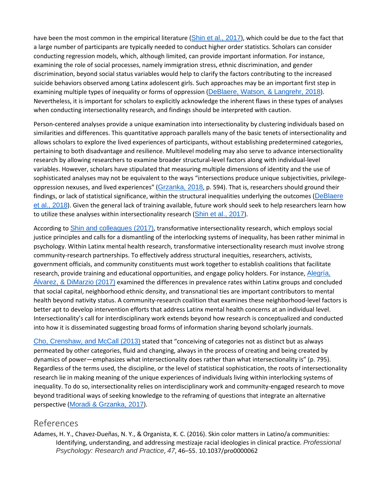have been the most common in the empirical literature (Shin et al., [2017](https://0-web-b-ebscohost-com.libus.csd.mu.edu/ehost/detail/detail?vid=2&sid=78445152-c7df-488a-bccc-964e324df4ab%40pdc-v-sessmgr05&bdata=JnNpdGU9ZWhvc3QtbGl2ZQ%3d%3d#c53)), which could be due to the fact that a large number of participants are typically needed to conduct higher order statistics. Scholars can consider conducting regression models, which, although limited, can provide important information. For instance, examining the role of social processes, namely immigration stress, ethnic discrimination, and gender discrimination, beyond social status variables would help to clarify the factors contributing to the increased suicide behaviors observed among Latinx adolescent girls. Such approaches may be an important first step in examining multiple types of inequality or forms of oppression ([DeBlaere,](https://0-web-b-ebscohost-com.libus.csd.mu.edu/ehost/detail/detail?vid=2&sid=78445152-c7df-488a-bccc-964e324df4ab%40pdc-v-sessmgr05&bdata=JnNpdGU9ZWhvc3QtbGl2ZQ%3d%3d#c19) Watson, & Langrehr, 2018). Nevertheless, it is important for scholars to explicitly acknowledge the inherent flaws in these types of analyses when conducting intersectionality research, and findings should be interpreted with caution.

Person-centered analyses provide a unique examination into intersectionality by clustering individuals based on similarities and differences. This quantitative approach parallels many of the basic tenets of intersectionality and allows scholars to explore the lived experiences of participants, without establishing predetermined categories, pertaining to both disadvantage and resilience. Multilevel modeling may also serve to advance intersectionality research by allowing researchers to examine broader structural-level factors along with individual-level variables. However, scholars have stipulated that measuring multiple dimensions of identity and the use of sophisticated analyses may not be equivalent to the ways "intersections produce unique subjectivities, privilege-oppression nexuses, and lived experiences" ([Grzanka,](https://0-web-b-ebscohost-com.libus.csd.mu.edu/ehost/detail/detail?vid=2&sid=78445152-c7df-488a-bccc-964e324df4ab%40pdc-v-sessmgr05&bdata=JnNpdGU9ZWhvc3QtbGl2ZQ%3d%3d#c28) 2018, p. 594). That is, researchers should ground their findings, or lack of statistical significance, within the structural inequalities underlying the outcomes ([DeBlaere](https://0-web-b-ebscohost-com.libus.csd.mu.edu/ehost/detail/detail?vid=2&sid=78445152-c7df-488a-bccc-964e324df4ab%40pdc-v-sessmgr05&bdata=JnNpdGU9ZWhvc3QtbGl2ZQ%3d%3d#c19) et al., [2018](https://0-web-b-ebscohost-com.libus.csd.mu.edu/ehost/detail/detail?vid=2&sid=78445152-c7df-488a-bccc-964e324df4ab%40pdc-v-sessmgr05&bdata=JnNpdGU9ZWhvc3QtbGl2ZQ%3d%3d#c19)). Given the general lack of training available, future work should seek to help researchers learn how to utilize these analyses within intersectionality research (Shin et al., [2017](https://0-web-b-ebscohost-com.libus.csd.mu.edu/ehost/detail/detail?vid=2&sid=78445152-c7df-488a-bccc-964e324df4ab%40pdc-v-sessmgr05&bdata=JnNpdGU9ZWhvc3QtbGl2ZQ%3d%3d#c53)).

According to **Shin and [colleagues](https://0-web-b-ebscohost-com.libus.csd.mu.edu/ehost/detail/detail?vid=2&sid=78445152-c7df-488a-bccc-964e324df4ab%40pdc-v-sessmgr05&bdata=JnNpdGU9ZWhvc3QtbGl2ZQ%3d%3d#c53) (2017)**, transformative intersectionality research, which employs social justice principles and calls for a dismantling of the interlocking systems of inequality, has been rather minimal in psychology. Within Latinx mental health research, transformative intersectionality research must involve strong community-research partnerships. To effectively address structural inequities, researchers, activists, government officials, and community constituents must work together to establish coalitions that facilitate research, provide training and educational opportunities, and engage policy holders. For instance, [Alegría,](https://0-web-b-ebscohost-com.libus.csd.mu.edu/ehost/detail/detail?vid=2&sid=78445152-c7df-488a-bccc-964e324df4ab%40pdc-v-sessmgr05&bdata=JnNpdGU9ZWhvc3QtbGl2ZQ%3d%3d#c68) Álvarez, & [DiMarzio](https://0-web-b-ebscohost-com.libus.csd.mu.edu/ehost/detail/detail?vid=2&sid=78445152-c7df-488a-bccc-964e324df4ab%40pdc-v-sessmgr05&bdata=JnNpdGU9ZWhvc3QtbGl2ZQ%3d%3d#c68) (2017) examined the differences in prevalence rates within Latinx groups and concluded that social capital, neighborhood ethnic density, and transnational ties are important contributors to mental health beyond nativity status. A community-research coalition that examines these neighborhood-level factors is better apt to develop intervention efforts that address Latinx mental health concerns at an individual level. Intersectionality's call for interdisciplinary work extends beyond how research is conceptualized and conducted into how it is disseminated suggesting broad forms of information sharing beyond scholarly journals.

Cho, [Crenshaw,](https://0-web-b-ebscohost-com.libus.csd.mu.edu/ehost/detail/detail?vid=2&sid=78445152-c7df-488a-bccc-964e324df4ab%40pdc-v-sessmgr05&bdata=JnNpdGU9ZWhvc3QtbGl2ZQ%3d%3d#c12) and McCall (2013) stated that "conceiving of categories not as distinct but as always permeated by other categories, fluid and changing, always in the process of creating and being created by dynamics of power—emphasizes what intersectionality does rather than what intersectionality is" (p. 795). Regardless of the terms used, the discipline, or the level of statistical sophistication, the roots of intersectionality research lie in making meaning of the unique experiences of individuals living within interlocking systems of inequality. To do so, intersectionality relies on interdisciplinary work and community-engaged research to move beyond traditional ways of seeking knowledge to the reframing of questions that integrate an alternative perspective (Moradi & [Grzanka,](https://0-web-b-ebscohost-com.libus.csd.mu.edu/ehost/detail/detail?vid=2&sid=78445152-c7df-488a-bccc-964e324df4ab%40pdc-v-sessmgr05&bdata=JnNpdGU9ZWhvc3QtbGl2ZQ%3d%3d#c40) 2017).

#### [References](https://0-web-b-ebscohost-com.libus.csd.mu.edu/ehost/detail/detail?vid=2&sid=78445152-c7df-488a-bccc-964e324df4ab%40pdc-v-sessmgr05&bdata=JnNpdGU9ZWhvc3QtbGl2ZQ%3d%3d#toc)

Adames, H. Y., Chavez-Dueñas, N. Y., & Organista, K. C. (2016). Skin color matters in Latino/a communities: Identifying, understanding, and addressing mestizaje racial ideologies in clinical practice. *Professional Psychology: Research and Practice*, *47*, 46–55. 10.1037/pro0000062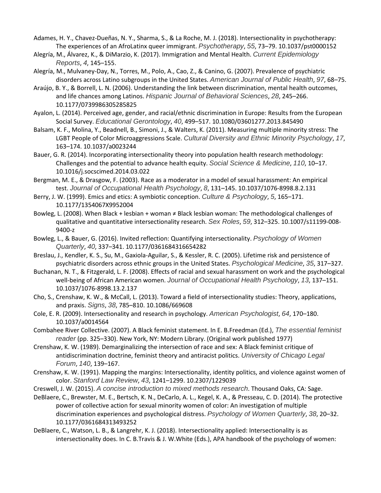- Adames, H. Y., Chavez-Dueñas, N. Y., Sharma, S., & La Roche, M. J. (2018). Intersectionality in psychotherapy: The experiences of an AfroLatinx queer immigrant. *Psychotherapy*, *55*, 73–79. 10.1037/pst0000152
- Alegría, M., Álvarez, K., & DiMarzio, K. (2017). Immigration and Mental Health. *Current Epidemiology Reports*, *4*, 145–155.
- Alegría, M., Mulvaney-Day, N., Torres, M., Polo, A., Cao, Z., & Canino, G. (2007). Prevalence of psychiatric disorders across Latino subgroups in the United States. *American Journal of Public Health*, *97*, 68–75.
- Araújo, B. Y., & Borrell, L. N. (2006). Understanding the link between discrimination, mental health outcomes, and life chances among Latinos. *Hispanic Journal of Behavioral Sciences*, *28*, 245–266. 10.1177/0739986305285825
- Ayalon, L. (2014). Perceived age, gender, and racial/ethnic discrimination in Europe: Results from the European Social Survey. *Educational Gerontology*, *40*, 499–517. 10.1080/03601277.2013.845490
- Balsam, K. F., Molina, Y., Beadnell, B., Simoni, J., & Walters, K. (2011). Measuring multiple minority stress: The LGBT People of Color Microaggressions Scale. *Cultural Diversity and Ethnic Minority Psychology*, *17*, 163–174. 10.1037/a0023244
- Bauer, G. R. (2014). Incorporating intersectionality theory into population health research methodology: Challenges and the potential to advance health equity. *Social Science & Medicine*, *110*, 10–17. 10.1016/j.socscimed.2014.03.022
- Bergman, M. E., & Drasgow, F. (2003). Race as a moderator in a model of sexual harassment: An empirical test. *Journal of Occupational Health Psychology*, *8*, 131–145. 10.1037/1076-8998.8.2.131
- Berry, J. W. (1999). Emics and etics: A symbiotic conception. *Culture & Psychology*, *5*, 165–171. 10.1177/1354067X9952004
- Bowleg, L. (2008). When Black + lesbian + woman ≠ Black lesbian woman: The methodological challenges of qualitative and quantitative intersectionality research. *Sex Roles*, *59*, 312–325. 10.1007/s11199-008- 9400-z
- Bowleg, L., & Bauer, G. (2016). Invited reflection: Quantifying intersectionality. *Psychology of Women Quarterly*, *40*, 337–341. 10.1177/0361684316654282
- Breslau, J., Kendler, K. S., Su, M., Gaxiola-Aguilar, S., & Kessler, R. C. (2005). Lifetime risk and persistence of psychiatric disorders across ethnic groups in the United States. *Psychological Medicine*, *35*, 317–327.
- Buchanan, N. T., & Fitzgerald, L. F. (2008). Effects of racial and sexual harassment on work and the psychological well-being of African American women. *Journal of Occupational Health Psychology*, *13*, 137–151. 10.1037/1076-8998.13.2.137
- Cho, S., Crenshaw, K. W., & McCall, L. (2013). Toward a field of intersectionality studies: Theory, applications, and praxis. *Signs*, *38*, 785–810. 10.1086/669608
- Cole, E. R. (2009). Intersectionality and research in psychology. *American Psychologist*, *64*, 170–180. 10.1037/a0014564
- Combahee River Collective. (2007). A Black feminist statement. In E. B.Freedman (Ed.), *The essential feminist reader* (pp. 325–330). New York, NY: Modern Library. (Original work published 1977)
- Crenshaw, K. W. (1989). Demarginalizing the intersection of race and sex: A Black feminist critique of antidiscrimination doctrine, feminist theory and antiracist politics. *University of Chicago Legal Forum*, *140*, 139–167.
- Crenshaw, K. W. (1991). Mapping the margins: Intersectionality, identity politics, and violence against women of color. *Stanford Law Review*, *43*, 1241–1299. 10.2307/1229039
- Creswell, J. W. (2015). *A concise introduction to mixed methods research*. Thousand Oaks, CA: Sage.
- DeBlaere, C., Brewster, M. E., Bertsch, K. N., DeCarlo, A. L., Kegel, K. A., & Presseau, C. D. (2014). The protective power of collective action for sexual minority women of color: An investigation of multiple discrimination experiences and psychological distress. *Psychology of Women Quarterly*, *38*, 20–32. 10.1177/0361684313493252
- DeBlaere, C., Watson, L. B., & Langrehr, K. J. (2018). Intersectionality applied: Intersectionality is as intersectionality does. In C. B.Travis & J. W.White (Eds.), APA handbook of the psychology of women: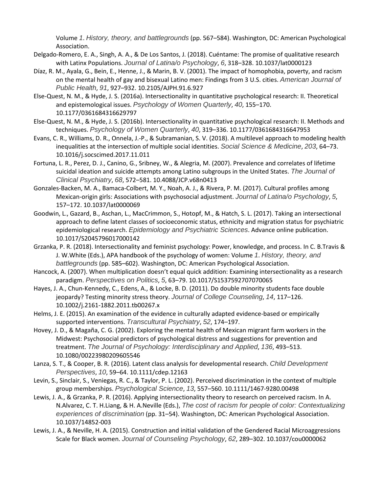Volume *1*. *History, theory, and battlegrounds* (pp. 567–584). Washington, DC: American Psychological Association.

- Delgado-Romero, E. A., Singh, A. A., & De Los Santos, J. (2018). Cuéntame: The promise of qualitative research with Latinx Populations. *Journal of Latina/o Psychology*, *6*, 318–328. 10.1037/lat0000123
- Díaz, R. M., Ayala, G., Bein, E., Henne, J., & Marin, B. V. (2001). The impact of homophobia, poverty, and racism on the mental health of gay and bisexual Latino men: Findings from 3 U.S. cities. *American Journal of Public Health*, *91*, 927–932. 10.2105/AJPH.91.6.927
- Else-Quest, N. M., & Hyde, J. S. (2016a). Intersectionality in quantitative psychological research: II. Theoretical and epistemological issues. *Psychology of Women Quarterly*, *40*, 155–170. 10.1177/0361684316629797
- Else-Quest, N. M., & Hyde, J. S. (2016b). Intersectionality in quantitative psychological research: II. Methods and techniques. *Psychology of Women Quarterly*, *40*, 319–336. 10.1177/0361684316647953
- Evans, C. R., Williams, D. R., Onnela, J.-P., & Subramanian, S. V. (2018). A multilevel approach to modeling health inequalities at the intersection of multiple social identities. *Social Science & Medicine*, *203*, 64–73. 10.1016/j.socscimed.2017.11.011
- Fortuna, L. R., Perez, D. J., Canino, G., Sribney, W., & Alegria, M. (2007). Prevalence and correlates of lifetime suicidal ideation and suicide attempts among Latino subgroups in the United States. *The Journal of Clinical Psychiatry*, *68*, 572–581. 10.4088/JCP.v68n0413
- Gonzales-Backen, M. A., Bamaca-Colbert, M. Y., Noah, A. J., & Rivera, P. M. (2017). Cultural profiles among Mexican-origin girls: Associations with psychosocial adjustment. *Journal of Latina/o Psychology*, *5*, 157–172. 10.1037/lat0000069
- Goodwin, L., Gazard, B., Aschan, L., MacCrimmon, S., Hotopf, M., & Hatch, S. L. (2017). Taking an intersectional approach to define latent classes of socioeconomic status, ethnicity and migration status for psychiatric epidemiological research. *Epidemiology and Psychiatric Sciences*. Advance online publication. 10.1017/S2045796017000142
- Grzanka, P. R. (2018). Intersectionality and feminist psychology: Power, knowledge, and process. In C. B.Travis & J. W.White (Eds.), APA handbook of the psychology of women: Volume *1*. *History, theory, and battlegrounds* (pp. 585–602). Washington, DC: American Psychological Association.
- Hancock, A. (2007). When multiplication doesn't equal quick addition: Examining intersectionality as a research paradigm. *Perspectives on Politics*, *5*, 63–79. 10.1017/S1537592707070065
- Hayes, J. A., Chun-Kennedy, C., Edens, A., & Locke, B. D. (2011). Do double minority students face double jeopardy? Testing minority stress theory. *Journal of College Counseling*, *14*, 117–126. 10.1002/j.2161-1882.2011.tb00267.x
- Helms, J. E. (2015). An examination of the evidence in culturally adapted evidence-based or empirically supported interventions. *Transcultural Psychiatry*, *52*, 174–197.
- Hovey, J. D., & Magaña, C. G. (2002). Exploring the mental health of Mexican migrant farm workers in the Midwest: Psychosocial predictors of psychological distress and suggestions for prevention and treatment. *The Journal of Psychology: Interdisciplinary and Applied*, *136*, 493–513. 10.1080/00223980209605546
- Lanza, S. T., & Cooper, B. R. (2016). Latent class analysis for developmental research. *Child Development Perspectives*, *10*, 59–64. 10.1111/cdep.12163
- Levin, S., Sinclair, S., Veniegas, R. C., & Taylor, P. L. (2002). Perceived discrimination in the context of multiple group memberships. *Psychological Science*, *13*, 557–560. 10.1111/1467-9280.00498
- Lewis, J. A., & Grzanka, P. R. (2016). Applying intersectionality theory to research on perceived racism. In A. N.Alvarez, C. T. H.Liang, & H. A.Neville (Eds.), *The cost of racism for people of color: Contextualizing experiences of discrimination* (pp. 31–54). Washington, DC: American Psychological Association. 10.1037/14852-003
- Lewis, J. A., & Neville, H. A. (2015). Construction and initial validation of the Gendered Racial Microaggressions Scale for Black women. *Journal of Counseling Psychology*, *62*, 289–302. 10.1037/cou0000062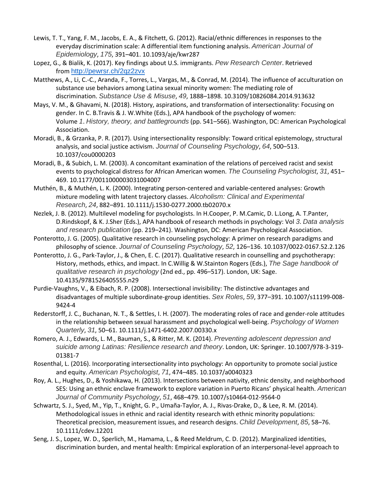- Lewis, T. T., Yang, F. M., Jacobs, E. A., & Fitchett, G. (2012). Racial/ethnic differences in responses to the everyday discrimination scale: A differential item functioning analysis. *American Journal of Epidemiology*, *175*, 391–401. 10.1093/aje/kwr287
- Lopez, G., & Bialik, K. (2017). Key findings about U.S. immigrants. *Pew Research Center*. Retrieved from <http://pewrsr.ch/2qz2zvx>
- Matthews, A., Li, C.-C., Aranda, F., Torres, L., Vargas, M., & Conrad, M. (2014). The influence of acculturation on substance use behaviors among Latina sexual minority women: The mediating role of discrimination. *Substance Use & Misuse*, *49*, 1888–1898. 10.3109/10826084.2014.913632
- Mays, V. M., & Ghavami, N. (2018). History, aspirations, and transformation of intersectionality: Focusing on gender. In C. B.Travis & J. W.White (Eds.), APA handbook of the psychology of women: Volume *1*. *History, theory, and battlegrounds* (pp. 541–566). Washington, DC: American Psychological Association.
- Moradi, B., & Grzanka, P. R. (2017). Using intersectionality responsibly: Toward critical epistemology, structural analysis, and social justice activism. *Journal of Counseling Psychology*, *64*, 500–513. 10.1037/cou0000203
- Moradi, B., & Subich, L. M. (2003). A concomitant examination of the relations of perceived racist and sexist events to psychological distress for African American women. *The Counseling Psychologist*, *31*, 451– 469. 10.1177/0011000003031004007
- Muthén, B., & Muthén, L. K. (2000). Integrating person-centered and variable-centered analyses: Growth mixture modeling with latent trajectory classes. *Alcoholism: Clinical and Experimental Research*, *24*, 882–891. 10.1111/j.1530-0277.2000.tb02070.x
- Nezlek, J. B. (2012). Multilevel modeling for psychologists. In H.Cooper, P. M.Camic, D. L.Long, A. T.Panter, D.Rindskopf, & K. J.Sher (Eds.), APA handbook of research methods in psychology: Vol *3*. *Data analysis and research publication* (pp. 219–241). Washington, DC: American Psychological Association.
- Ponterotto, J. G. (2005). Qualitative research in counseling psychology: A primer on research paradigms and philosophy of science. *Journal of Counseling Psychology*, *52*, 126–136. 10.1037/0022-0167.52.2.126
- Ponterotto, J. G., Park-Taylor, J., & Chen, E. C. (2017). Qualitative research in counselling and psychotherapy: History, methods, ethics, and impact. In C.Willig & W.Stainton Rogers (Eds.), *The Sage handbook of qualitative research in psychology* (2nd ed., pp. 496–517). London, UK: Sage. 10.4135/9781526405555.n29
- Purdie-Vaughns, V., & Eibach, R. P. (2008). Intersectional invisibility: The distinctive advantages and disadvantages of multiple subordinate-group identities. *Sex Roles*, *59*, 377–391. 10.1007/s11199-008- 9424-4
- Rederstorff, J. C., Buchanan, N. T., & Settles, I. H. (2007). The moderating roles of race and gender-role attitudes in the relationship between sexual harassment and psychological well-being. *Psychology of Women Quarterly*, *31*, 50–61. 10.1111/j.1471-6402.2007.00330.x
- Romero, A. J., Edwards, L. M., Bauman, S., & Ritter, M. K. (2014). *Preventing adolescent depression and suicide among Latinas: Resilience research and theory*. London, UK: Springer. 10.1007/978-3-319- 01381-7
- Rosenthal, L. (2016). Incorporating intersectionality into psychology: An opportunity to promote social justice and equity. *American Psychologist*, *71*, 474–485. 10.1037/a0040323
- Roy, A. L., Hughes, D., & Yoshikawa, H. (2013). Intersections between nativity, ethnic density, and neighborhood SES: Using an ethnic enclave framework to explore variation in Puerto Ricans' physical health. *American Journal of Community Psychology*, *51*, 468–479. 10.1007/s10464-012-9564-0
- Schwartz, S. J., Syed, M., Yip, T., Knight, G. P., Umaña-Taylor, A. J., Rivas-Drake, D., & Lee, R. M. (2014). Methodological issues in ethnic and racial identity research with ethnic minority populations: Theoretical precision, measurement issues, and research designs. *Child Development*, *85*, 58–76. 10.1111/cdev.12201
- Seng, J. S., Lopez, W. D., Sperlich, M., Hamama, L., & Reed Meldrum, C. D. (2012). Marginalized identities, discrimination burden, and mental health: Empirical exploration of an interpersonal-level approach to